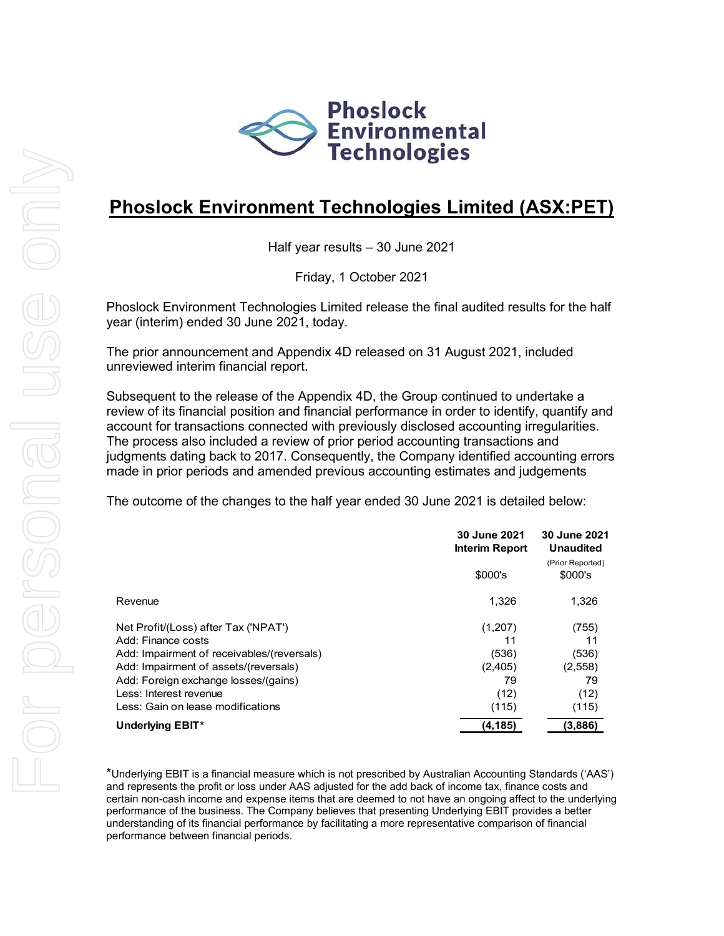

# **Phoslock Environment Technologies Limited (ASX:PET)**

Half year results – 30 June 2021

Friday, 1 October 2021

Phoslock Environment Technologies Limited release the final audited results for the half year (interim) ended 30 June 2021, today.

The prior announcement and Appendix 4D released on 31 August 2021, included unreviewed interim financial report.

Subsequent to the release of the Appendix 4D, the Group continued to undertake a review of its financial position and financial performance in order to identify, quantify and account for transactions connected with previously disclosed accounting irregularities. The process also included a review of prior period accounting transactions and judgments dating back to 2017. Consequently, the Company identified accounting errors made in prior periods and amended previous accounting estimates and judgements

The outcome of the changes to the half year ended 30 June 2021 is detailed below:

|                                            | 30 June 2021<br>Interim Report |                             |
|--------------------------------------------|--------------------------------|-----------------------------|
|                                            | \$000's                        | (Prior Reported)<br>\$000's |
| Revenue                                    | 1.326                          | 1,326                       |
| Net Profit/(Loss) after Tax ('NPAT')       | (1,207)                        | (755)                       |
| Add: Finance costs                         | 11                             | 11                          |
| Add: Impairment of receivables/(reversals) | (536)                          | (536)                       |
| Add: Impairment of assets/(reversals)      | (2,405)                        | (2,558)                     |
| Add: Foreign exchange losses/(gains)       | 79                             | 79                          |
| Less: Interest revenue                     | (12)                           | (12)                        |
| Less: Gain on lease modifications          | (115)                          | (115)                       |
| Underlying EBIT*                           | (4,185)                        | (3,886)                     |

\*Underlying EBIT is a financial measure which is not prescribed by Australian Accounting Standards ('AAS') and represents the profit or loss under AAS adjusted for the add back of income tax, finance costs and certain non-cash income and expense items that are deemed to not have an ongoing affect to the underlying performance of the business. The Company believes that presenting Underlying EBIT provides a better understanding of its financial performance by facilitating a more representative comparison of financial performance between financial periods.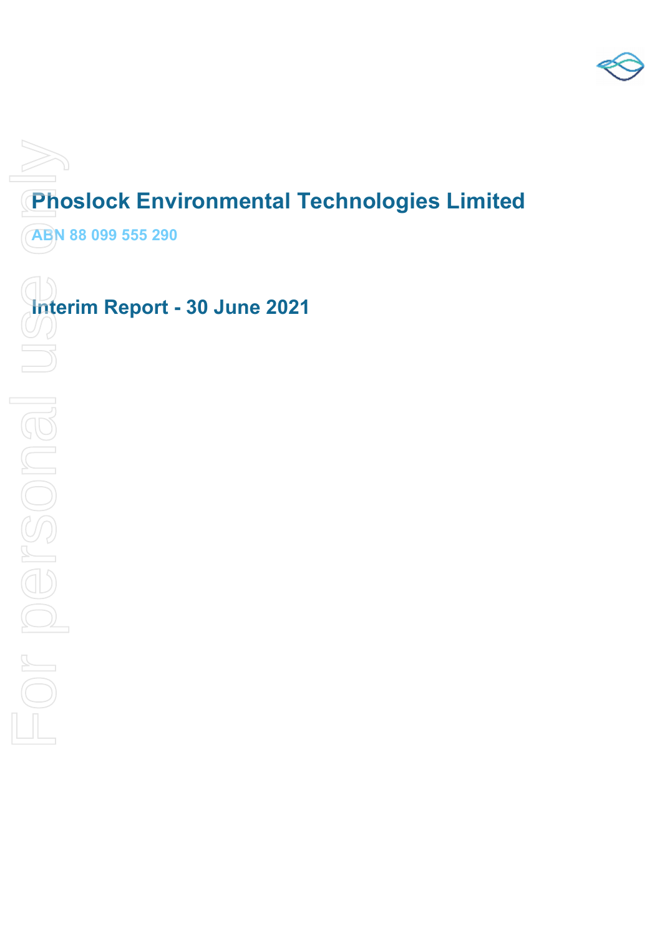

# **Phoslock Environmental Technologies Limited**

**ABN 88 099 555 290** 

**Interim Report - 30 June 2021**<br>
<br> **For personal use of personal use of personal use of personal use of personal use of personal use of personal use of personal use of personal use of personal use of personal use of person**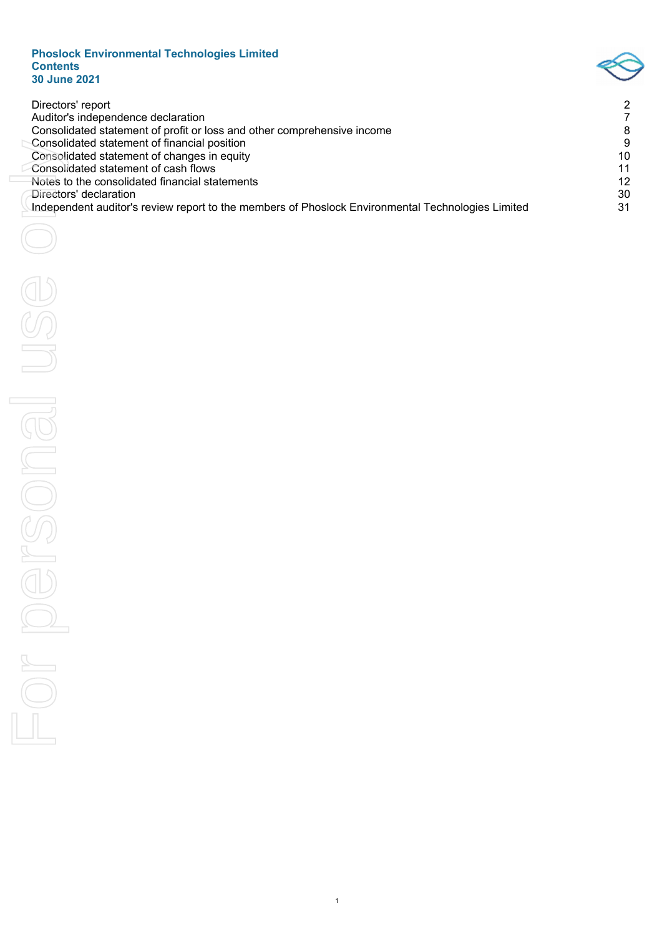#### **Phoslock Environmental Technologies Limited Contents 30 June 2021**



| Directors' report<br>Auditor's independence declaration<br>Consolidated statement of profit or loss and other comprehensive income<br>Consolidated statement of financial position<br>Consolidated statement of changes in equity<br>Consolidated statement of cash flows<br>Notes to the consolidated financial statements<br>Directors' declaration<br>Independent auditor's review report to the members of Phoslock Environmental Technologies Limited | $\overline{\mathbf{c}}$<br>7<br>8<br>9<br>10<br>11<br>12<br>30<br>31 |
|------------------------------------------------------------------------------------------------------------------------------------------------------------------------------------------------------------------------------------------------------------------------------------------------------------------------------------------------------------------------------------------------------------------------------------------------------------|----------------------------------------------------------------------|
|                                                                                                                                                                                                                                                                                                                                                                                                                                                            |                                                                      |
|                                                                                                                                                                                                                                                                                                                                                                                                                                                            |                                                                      |
| $\mathbb{O}$                                                                                                                                                                                                                                                                                                                                                                                                                                               |                                                                      |
| SONG.                                                                                                                                                                                                                                                                                                                                                                                                                                                      |                                                                      |
|                                                                                                                                                                                                                                                                                                                                                                                                                                                            |                                                                      |
|                                                                                                                                                                                                                                                                                                                                                                                                                                                            |                                                                      |
| $\sim$                                                                                                                                                                                                                                                                                                                                                                                                                                                     |                                                                      |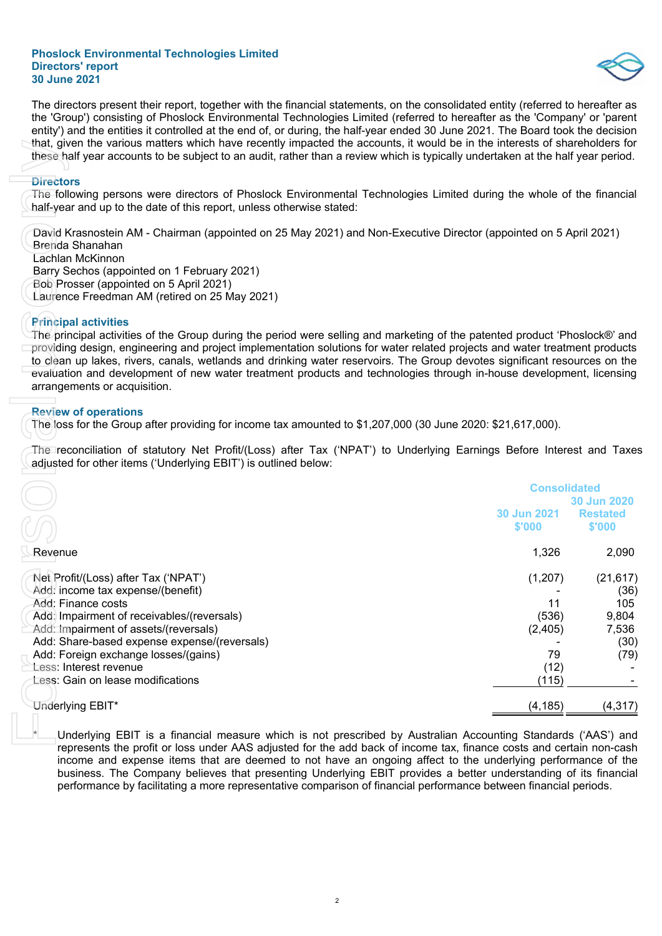The directors present their report, together with the financial statements, on the consolidated entity (referred to hereafter as the 'Group') consisting of Phoslock Environmental Technologies Limited (referred to hereafter as the 'Company' or 'parent entity') and the entities it controlled at the end of, or during, the half-year ended 30 June 2021. The Board took the decision that, given the various matters which have recently impacted the accounts, it would be in the interests of shareholders for these half year accounts to be subject to an audit, rather than a review which is typically undertaken at the half year period.

#### **Directors**

#### **Principal activities**

#### **Review of operations**

| that, given the various matters which have recently impacted the accounts, it would be in the interests of shareholders for<br>these half year accounts to be subject to an audit, rather than a review which is typically undertaken at the half year period.                                                                                                                                                                                                                                                                                                                             |                                   |                                            |
|--------------------------------------------------------------------------------------------------------------------------------------------------------------------------------------------------------------------------------------------------------------------------------------------------------------------------------------------------------------------------------------------------------------------------------------------------------------------------------------------------------------------------------------------------------------------------------------------|-----------------------------------|--------------------------------------------|
| <b>Directors</b><br>The following persons were directors of Phoslock Environmental Technologies Limited during the whole of the financial<br>half-year and up to the date of this report, unless otherwise stated:                                                                                                                                                                                                                                                                                                                                                                         |                                   |                                            |
| David Krasnostein AM - Chairman (appointed on 25 May 2021) and Non-Executive Director (appointed on 5 April 2021)<br>Brenda Shanahan<br>Lachlan McKinnon<br>Barry Sechos (appointed on 1 February 2021)<br>Bob Prosser (appointed on 5 April 2021)<br>Laurence Freedman AM (retired on 25 May 2021)                                                                                                                                                                                                                                                                                        |                                   |                                            |
| <b>Principal activities</b><br>The principal activities of the Group during the period were selling and marketing of the patented product 'Phoslock®' and<br>providing design, engineering and project implementation solutions for water related projects and water treatment products<br>to clean up lakes, rivers, canals, wetlands and drinking water reservoirs. The Group devotes significant resources on the<br>evaluation and development of new water treatment products and technologies through in-house development, licensing<br>arrangements or acquisition.                |                                   |                                            |
| <b>Review of operations</b><br>The loss for the Group after providing for income tax amounted to \$1,207,000 (30 June 2020: \$21,617,000).                                                                                                                                                                                                                                                                                                                                                                                                                                                 |                                   |                                            |
| The reconciliation of statutory Net Profit/(Loss) after Tax ('NPAT') to Underlying Earnings Before Interest and Taxes<br>adjusted for other items ('Underlying EBIT') is outlined below:                                                                                                                                                                                                                                                                                                                                                                                                   |                                   |                                            |
|                                                                                                                                                                                                                                                                                                                                                                                                                                                                                                                                                                                            | <b>Consolidated</b>               |                                            |
|                                                                                                                                                                                                                                                                                                                                                                                                                                                                                                                                                                                            | 30 Jun 2021<br>\$'000             | 30 Jun 2020<br><b>Restated</b><br>\$'000   |
| Revenue                                                                                                                                                                                                                                                                                                                                                                                                                                                                                                                                                                                    | 1,326                             | 2,090                                      |
| Net Profit/(Loss) after Tax ('NPAT')<br>Add: income tax expense/(benefit)<br>Add: Finance costs<br>Add: Impairment of receivables/(reversals)<br>Add: Impairment of assets/(reversals)                                                                                                                                                                                                                                                                                                                                                                                                     | (1,207)<br>11<br>(536)<br>(2,405) | (21, 617)<br>(36)<br>105<br>9,804<br>7,536 |
| Add: Share-based expense expense/(reversals)<br>Add: Foreign exchange losses/(gains)<br>Less: Interest revenue<br>Less: Gain on lease modifications                                                                                                                                                                                                                                                                                                                                                                                                                                        | 79<br>(12)<br>(115)               | (30)<br>(79)                               |
| Underlying EBIT*                                                                                                                                                                                                                                                                                                                                                                                                                                                                                                                                                                           | (4, 185)                          | (4, 317)                                   |
| Underlying EBIT is a financial measure which is not prescribed by Australian Accounting Standards ('AAS') and<br>represents the profit or loss under AAS adjusted for the add back of income tax, finance costs and certain non-cash<br>income and expense items that are deemed to not have an ongoing affect to the underlying performance of the<br>business. The Company believes that presenting Underlying EBIT provides a better understanding of its financial<br>performance by facilitating a more representative comparison of financial performance between financial periods. |                                   |                                            |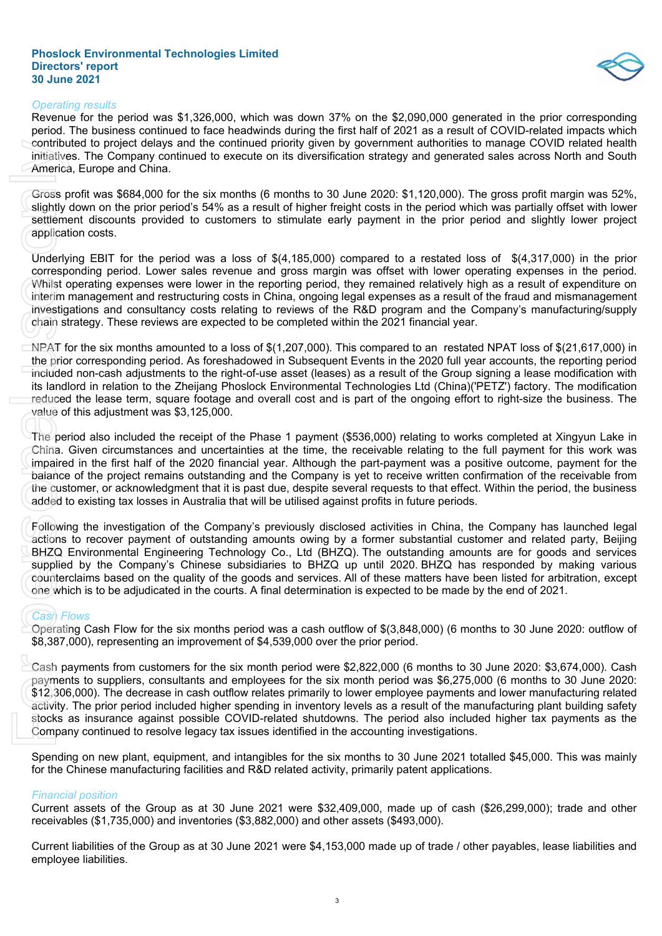

#### *Operating results*

Revenue for the period was \$1,326,000, which was down 37% on the \$2,090,000 generated in the prior corresponding period. The business continued to face headwinds during the first half of 2021 as a result of COVID-related impacts which contributed to project delays and the continued priority given by government authorities to manage COVID related health initiatives. The Company continued to execute on its diversification strategy and generated sales across North and South America, Europe and China.

Gross profit was \$684,000 for the six months (6 months to 30 June 2020: \$1,120,000). The gross profit margin was 52%, slightly down on the prior period's 54% as a result of higher freight costs in the period which was partially offset with lower settlement discounts provided to customers to stimulate early payment in the prior period and slightly lower project application costs.

Underlying EBIT for the period was a loss of \$(4,185,000) compared to a restated loss of \$(4,317,000) in the prior corresponding period. Lower sales revenue and gross margin was offset with lower operating expenses in the period. Whilst operating expenses were lower in the reporting period, they remained relatively high as a result of expenditure on interim management and restructuring costs in China, ongoing legal expenses as a result of the fraud and mismanagement investigations and consultancy costs relating to reviews of the R&D program and the Company's manufacturing/supply chain strategy. These reviews are expected to be completed within the 2021 financial year. contributed to projecularities. The Commercial, Europe and Gross profit was \$61 slightly down on the settlement discount application costs. Underlying EBIT for corresponding period Whilst operating expressions and chain st

NPAT for the six months amounted to a loss of \$(1,207,000). This compared to an restated NPAT loss of \$(21,617,000) in the prior corresponding period. As foreshadowed in Subsequent Events in the 2020 full year accounts, the reporting period included non-cash adjustments to the right-of-use asset (leases) as a result of the Group signing a lease modification with its landlord in relation to the Zheijang Phoslock Environmental Technologies Ltd (China)('PETZ') factory. The modification reduced the lease term, square footage and overall cost and is part of the ongoing effort to right-size the business. The value of this adjustment was \$3,125,000.

The period also included the receipt of the Phase 1 payment (\$536,000) relating to works completed at Xingyun Lake in China. Given circumstances and uncertainties at the time, the receivable relating to the full payment for this work was impaired in the first half of the 2020 financial year. Although the part-payment was a positive outcome, payment for the balance of the project remains outstanding and the Company is yet to receive written confirmation of the receivable from the customer, or acknowledgment that it is past due, despite several requests to that effect. Within the period, the business added to existing tax losses in Australia that will be utilised against profits in future periods.

Following the investigation of the Company's previously disclosed activities in China, the Company has launched legal actions to recover payment of outstanding amounts owing by a former substantial customer and related party, Beijing BHZQ Environmental Engineering Technology Co., Ltd (BHZQ). The outstanding amounts are for goods and services supplied by the Company's Chinese subsidiaries to BHZQ up until 2020. BHZQ has responded by making various counterclaims based on the quality of the goods and services. All of these matters have been listed for arbitration, except one which is to be adjudicated in the courts. A final determination is expected to be made by the end of 2021.

#### *Cash Flows*

Operating Cash Flow for the six months period was a cash outflow of \$(3,848,000) (6 months to 30 June 2020: outflow of \$8,387,000), representing an improvement of \$4,539,000 over the prior period.

Cash payments from customers for the six month period were \$2,822,000 (6 months to 30 June 2020: \$3,674,000). Cash payments to suppliers, consultants and employees for the six month period was \$6,275,000 (6 months to 30 June 2020: \$12,306,000). The decrease in cash outflow relates primarily to lower employee payments and lower manufacturing related activity. The prior period included higher spending in inventory levels as a result of the manufacturing plant building safety stocks as insurance against possible COVID-related shutdowns. The period also included higher tax payments as the Company continued to resolve legacy tax issues identified in the accounting investigations.

Spending on new plant, equipment, and intangibles for the six months to 30 June 2021 totalled \$45,000. This was mainly for the Chinese manufacturing facilities and R&D related activity, primarily patent applications.

#### *Financial position*

Current assets of the Group as at 30 June 2021 were \$32,409,000, made up of cash (\$26,299,000); trade and other receivables (\$1,735,000) and inventories (\$3,882,000) and other assets (\$493,000).

Current liabilities of the Group as at 30 June 2021 were \$4,153,000 made up of trade / other payables, lease liabilities and employee liabilities.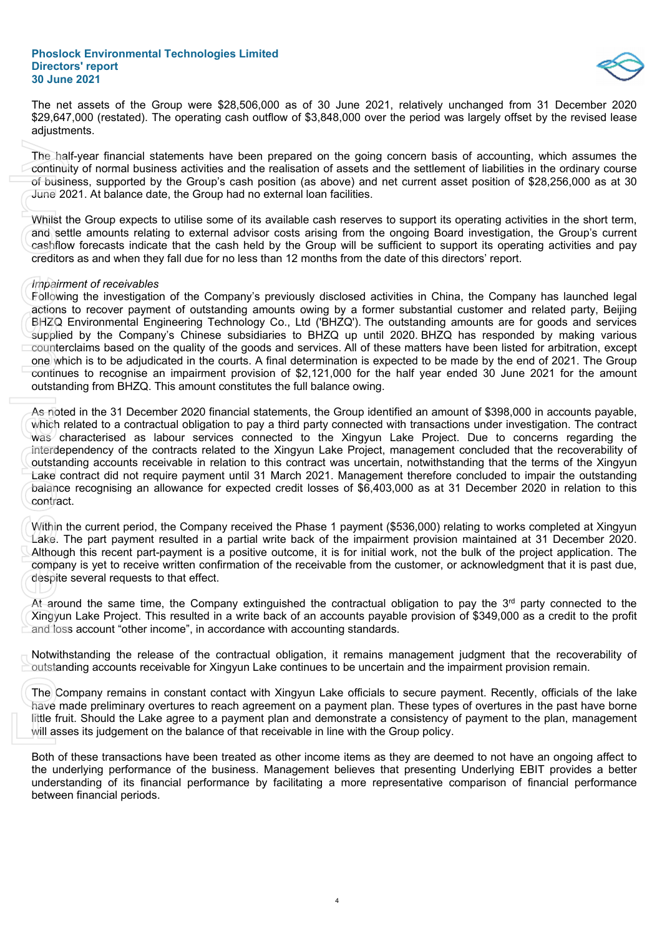

The net assets of the Group were \$28,506,000 as of 30 June 2021, relatively unchanged from 31 December 2020 \$29,647,000 (restated). The operating cash outflow of \$3,848,000 over the period was largely offset by the revised lease adjustments.

The half-year financial statements have been prepared on the going concern basis of accounting, which assumes the continuity of normal business activities and the realisation of assets and the settlement of liabilities in the ordinary course of business, supported by the Group's cash position (as above) and net current asset position of \$28,256,000 as at 30 June 2021. At balance date, the Group had no external loan facilities.

Whilst the Group expects to utilise some of its available cash reserves to support its operating activities in the short term, and settle amounts relating to external advisor costs arising from the ongoing Board investigation, the Group's current cashflow forecasts indicate that the cash held by the Group will be sufficient to support its operating activities and pay creditors as and when they fall due for no less than 12 months from the date of this directors' report.

#### *Impairment of receivables*

Following the investigation of the Company's previously disclosed activities in China, the Company has launched legal actions to recover payment of outstanding amounts owing by a former substantial customer and related party, Beijing BHZQ Environmental Engineering Technology Co., Ltd ('BHZQ'). The outstanding amounts are for goods and services supplied by the Company's Chinese subsidiaries to BHZQ up until 2020. BHZQ has responded by making various counterclaims based on the quality of the goods and services. All of these matters have been listed for arbitration, except one which is to be adjudicated in the courts. A final determination is expected to be made by the end of 2021. The Group continues to recognise an impairment provision of \$2,121,000 for the half year ended 30 June 2021 for the amount outstanding from BHZQ. This amount constitutes the full balance owing.

As noted in the 31 December 2020 financial statements, the Group identified an amount of \$398,000 in accounts payable, which related to a contractual obligation to pay a third party connected with transactions under investigation. The contract was characterised as labour services connected to the Xingyun Lake Project. Due to concerns regarding the interdependency of the contracts related to the Xingyun Lake Project, management concluded that the recoverability of outstanding accounts receivable in relation to this contract was uncertain, notwithstanding that the terms of the Xingyun Lake contract did not require payment until 31 March 2021. Management therefore concluded to impair the outstanding balance recognising an allowance for expected credit losses of \$6,403,000 as at 31 December 2020 in relation to this contract. The half-year financial state contrinuity of normal busine<br>of business, supported by<br>June 2021. At balance date<br>whilst the Group expects to an settle amounts relation<br>certilors as and when they<br>final reversors indicated<br>cr

Within the current period, the Company received the Phase 1 payment (\$536,000) relating to works completed at Xingyun Lake. The part payment resulted in a partial write back of the impairment provision maintained at 31 December 2020. Although this recent part-payment is a positive outcome, it is for initial work, not the bulk of the project application. The company is yet to receive written confirmation of the receivable from the customer, or acknowledgment that it is past due, despite several requests to that effect.

At around the same time, the Company extinguished the contractual obligation to pay the 3<sup>rd</sup> party connected to the Xingyun Lake Project. This resulted in a write back of an accounts payable provision of \$349,000 as a credit to the profit and loss account "other income", in accordance with accounting standards.

Notwithstanding the release of the contractual obligation, it remains management judgment that the recoverability of outstanding accounts receivable for Xingyun Lake continues to be uncertain and the impairment provision remain.

The Company remains in constant contact with Xingyun Lake officials to secure payment. Recently, officials of the lake have made preliminary overtures to reach agreement on a payment plan. These types of overtures in the past have borne little fruit. Should the Lake agree to a payment plan and demonstrate a consistency of payment to the plan, management will asses its judgement on the balance of that receivable in line with the Group policy.

Both of these transactions have been treated as other income items as they are deemed to not have an ongoing affect to the underlying performance of the business. Management believes that presenting Underlying EBIT provides a better understanding of its financial performance by facilitating a more representative comparison of financial performance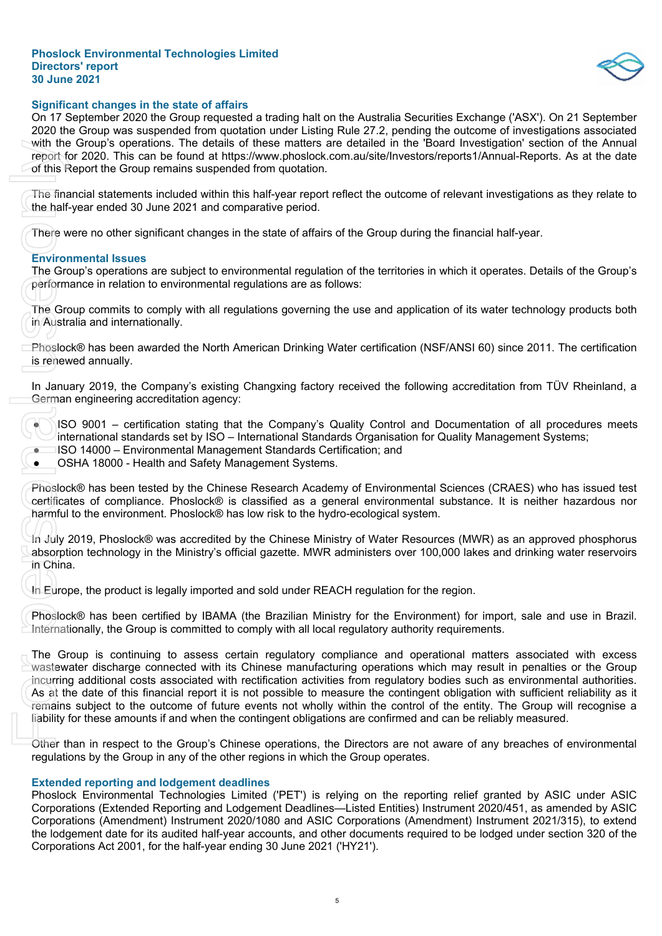

#### **Significant changes in the state of affairs**

On 17 September 2020 the Group requested a trading halt on the Australia Securities Exchange ('ASX'). On 21 September 2020 the Group was suspended from quotation under Listing Rule 27.2, pending the outcome of investigations associated with the Group's operations. The details of these matters are detailed in the 'Board Investigation' section of the Annual report for 2020. This can be found at https://www.phoslock.com.au/site/Investors/reports1/Annual-Reports. As at the date of this Report the Group remains suspended from quotation.

The financial statements included within this half-year report reflect the outcome of relevant investigations as they relate to the half-year ended 30 June 2021 and comparative period.

There were no other significant changes in the state of affairs of the Group during the financial half-year.

#### **Environmental Issues**

The Group's operations are subject to environmental regulation of the territories in which it operates. Details of the Group's performance in relation to environmental regulations are as follows:

The Group commits to comply with all regulations governing the use and application of its water technology products both in Australia and internationally.

Phoslock® has been awarded the North American Drinking Water certification (NSF/ANSI 60) since 2011. The certification is renewed annually.

In January 2019, the Company's existing Changxing factory received the following accreditation from TÜV Rheinland, a German engineering accreditation agency:

● ISO 9001 – certification stating that the Company's Quality Control and Documentation of all procedures meets international standards set by ISO – International Standards Organisation for Quality Management Systems;

● ISO 14000 – Environmental Management Standards Certification; and

OSHA 18000 - Health and Safety Management Systems.

Phoslock® has been tested by the Chinese Research Academy of Environmental Sciences (CRAES) who has issued test certificates of compliance. Phoslock® is classified as a general environmental substance. It is neither hazardous nor harmful to the environment. Phoslock® has low risk to the hydro-ecological system.

In July 2019, Phoslock® was accredited by the Chinese Ministry of Water Resources (MWR) as an approved phosphorus absorption technology in the Ministry's official gazette. MWR administers over 100,000 lakes and drinking water reservoirs in China.

In Europe, the product is legally imported and sold under REACH regulation for the region.

Phoslock® has been certified by IBAMA (the Brazilian Ministry for the Environment) for import, sale and use in Brazil. Internationally, the Group is committed to comply with all local regulatory authority requirements.

The Group is continuing to assess certain regulatory compliance and operational matters associated with excess wastewater discharge connected with its Chinese manufacturing operations which may result in penalties or the Group incurring additional costs associated with rectification activities from regulatory bodies such as environmental authorities. As at the date of this financial report it is not possible to measure the contingent obligation with sufficient reliability as it remains subject to the outcome of future events not wholly within the control of the entity. The Group will recognise a liability for these amounts if and when the contingent obligations are confirmed and can be reliably measured. with the Groups operations. The details of these metales are detailed that the forest are detailed that the Group remains suspended from quotalsor.<br>The financial statements included within this half-year eport reflect the

Other than in respect to the Group's Chinese operations, the Directors are not aware of any breaches of environmental regulations by the Group in any of the other regions in which the Group operates.

#### **Extended reporting and lodgement deadlines**

Phoslock Environmental Technologies Limited ('PET') is relying on the reporting relief granted by ASIC under ASIC Corporations (Extended Reporting and Lodgement Deadlines—Listed Entities) Instrument 2020/451, as amended by ASIC Corporations (Amendment) Instrument 2020/1080 and ASIC Corporations (Amendment) Instrument 2021/315), to extend the lodgement date for its audited half-year accounts, and other documents required to be lodged under section 320 of the<br>Corporations Act 2001, for the half-year ending 30 June 2021 ('HY21').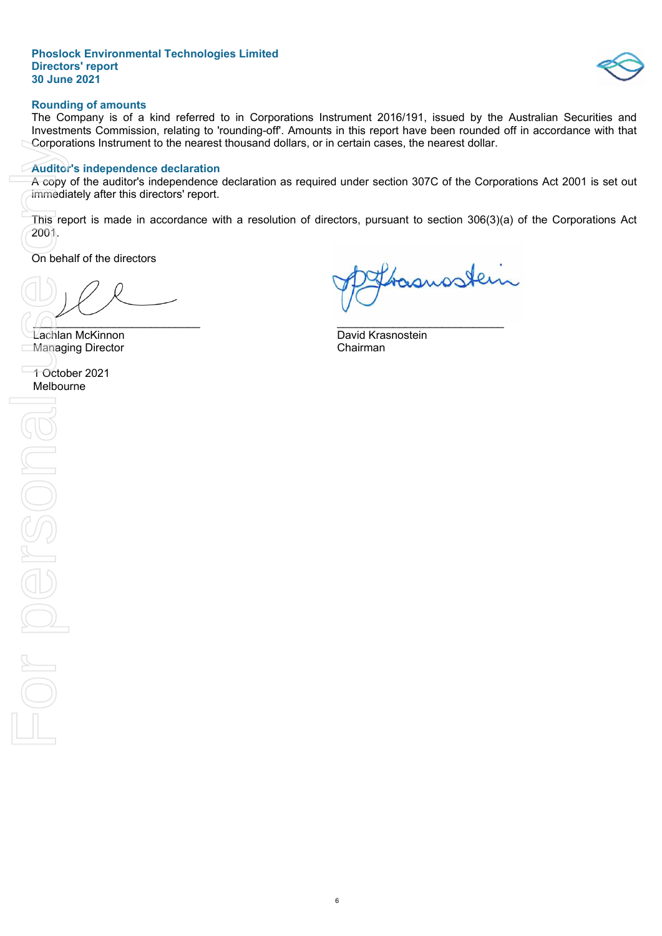

#### **Rounding of amounts**

The Company is of a kind referred to in Corporations Instrument 2016/191, issued by the Australian Securities and Investments Commission, relating to 'rounding-off'. Amounts in this report have been rounded off in accordance with that Corporations Instrument to the nearest thousand dollars, or in certain cases, the nearest dollar.

#### **Auditor's independence declaration**

A copy of the auditor's independence declaration as required under section 307C of the Corporations Act 2001 is set out immediately after this directors' report.

This report is made in accordance with a resolution of directors, pursuant to section 306(3)(a) of the Corporations Act 2001.

On behalf of the directors

 $\sqrt{1}$ 

Lachlan McKinnon David Krasnostein Managing Director

1 October 2021 Melbourne

basusstein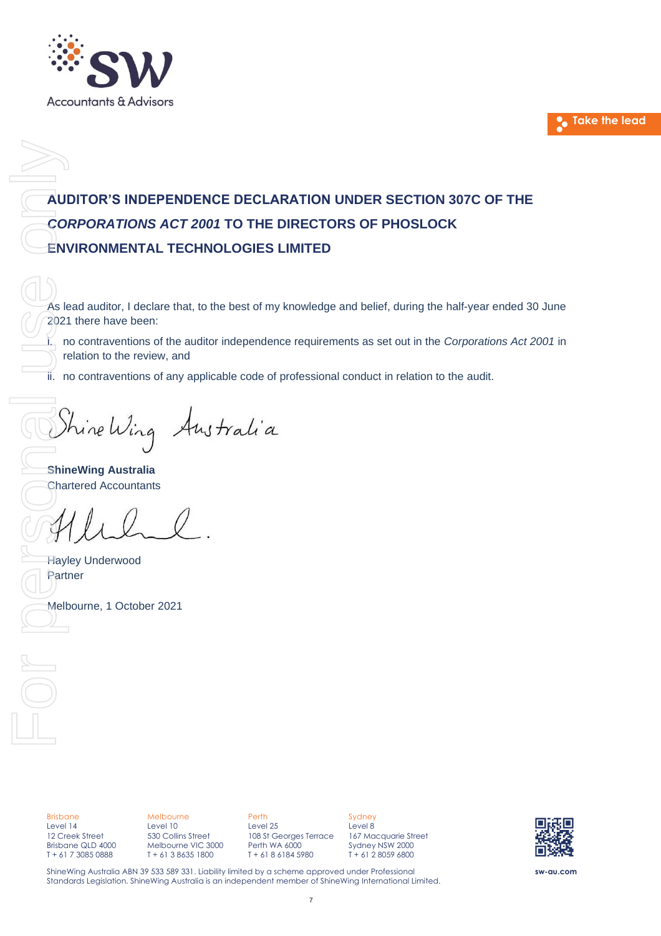



# **AUDITOR'S INDEPENDENCE DECLARATION UNDER SECTION 307C OF THE** *CORPORATIONS ACT 2001* **TO THE DIRECTORS OF PHOSLOCK ENVIRONMENTAL TECHNOLOGIES LIMITED** AUDITOR'S INDEPEN<br>
CORPORATIONS AC<br>
ENVIRONMENTAL TE<br>
As lead auditor, I declare th<br>
2021 there have been:<br>
i. no contraventions of the<br>
ii. no contraventions of any<br>
ii. no contraventions of any<br>
ShineWing Australia<br>
Char

As lead auditor, I declare that, to the best of my knowledge and belief, during the half-year ended 30 June 2021 there have been:

i. no contraventions of the auditor independence requirements as set out in the *Corporations Act 2001* in relation to the review, and

ii. no contraventions of any applicable code of professional conduct in relation to the audit.

**ShineWing Australia** Chartered Accountants

Hayley Underwood Partner

Brisbane Level 14 12 Creek Street Brisbane QLD 4000 T + 61 7 3085 0888

Melbourne Level 10 530 Collins Street Melbourne VIC 3000 T + 61 3 8635 1800

Perth Level 25 108 St Georges Terrace Perth WA 6000 T + 61 8 6184 5980

Sydney Level 8 167 Macquarie Street Sydney NSW 2000 T + 61 2 8059 6800



**sw-au.com**

ShineWing Australia ABN 39 533 589 331. Liability limited by a scheme approved under Professional Standards Legislation. ShineWing Australia is an independent member of ShineWing International Limited.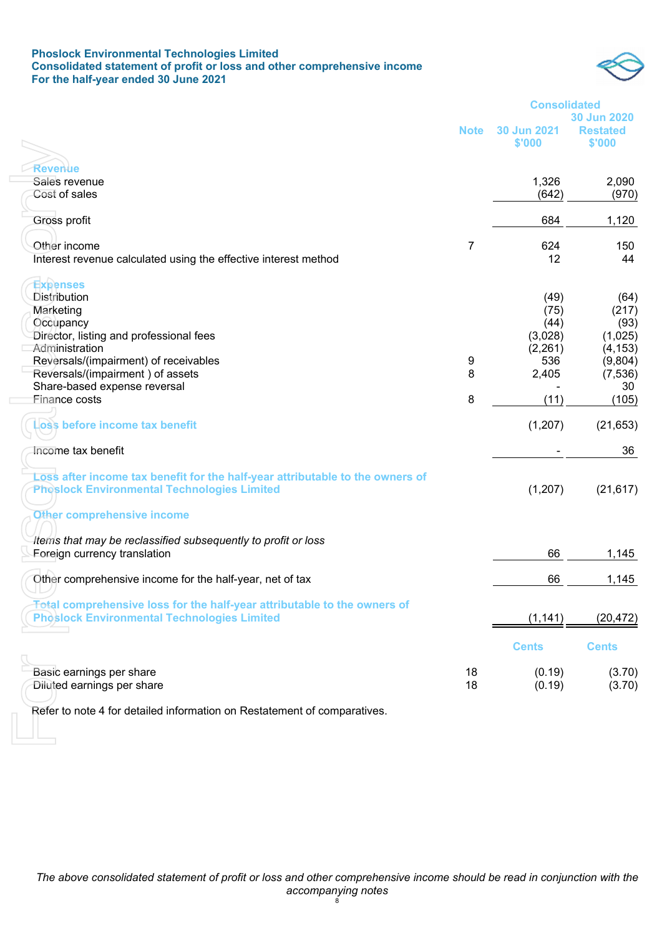#### **Phoslock Environmental Technologies Limited Consolidated statement of profit or loss and other comprehensive income For the half-year ended 30 June 2021**



|                                                                                 |             | <b>Consolidated</b> |                    |  |
|---------------------------------------------------------------------------------|-------------|---------------------|--------------------|--|
|                                                                                 |             |                     | <b>30 Jun 2020</b> |  |
|                                                                                 | <b>Note</b> | 30 Jun 2021         | <b>Restated</b>    |  |
|                                                                                 |             | \$'000              | \$'000             |  |
|                                                                                 |             |                     |                    |  |
| <b>Revenue</b>                                                                  |             |                     |                    |  |
| Sales revenue                                                                   |             | 1,326               | 2,090              |  |
| Cost of sales                                                                   |             | (642)               | (970)              |  |
|                                                                                 |             |                     |                    |  |
| Gross profit                                                                    |             | 684                 | 1,120              |  |
|                                                                                 |             |                     |                    |  |
| Other income                                                                    | 7           | 624                 | 150                |  |
| Interest revenue calculated using the effective interest method                 |             | 12                  | 44                 |  |
| <b>Expenses</b>                                                                 |             |                     |                    |  |
| Distribution                                                                    |             | (49)                | (64)               |  |
| Marketing                                                                       |             | (75)                | (217)              |  |
| Occupancy                                                                       |             | (44)                | (93)               |  |
| Director, listing and professional fees                                         |             | (3,028)             | (1,025)            |  |
| Administration                                                                  |             | (2,261)             | (4, 153)           |  |
| Reversals/(impairment) of receivables                                           | 9           | 536                 | (9,804)            |  |
| Reversals/(impairment) of assets                                                | 8           | 2,405               | (7, 536)           |  |
| Share-based expense reversal                                                    |             |                     | 30                 |  |
| <b>Finance costs</b>                                                            | 8           | (11)                | (105)              |  |
|                                                                                 |             |                     |                    |  |
| oss before income tax benefit                                                   |             | (1,207)             | (21, 653)          |  |
|                                                                                 |             |                     |                    |  |
| Income tax benefit                                                              |             |                     | 36                 |  |
|                                                                                 |             |                     |                    |  |
| Loss after income tax benefit for the half-year attributable to the owners of   |             |                     |                    |  |
| <b>Phoslock Environmental Technologies Limited</b>                              |             | (1, 207)            | (21, 617)          |  |
|                                                                                 |             |                     |                    |  |
| Other comprehensive income                                                      |             |                     |                    |  |
|                                                                                 |             |                     |                    |  |
| Items that may be reclassified subsequently to profit or loss                   |             |                     |                    |  |
| Foreign currency translation                                                    |             | 66                  | 1,145              |  |
|                                                                                 |             |                     |                    |  |
| Other comprehensive income for the half-year, net of tax                        |             | 66                  | 1,145              |  |
|                                                                                 |             |                     |                    |  |
| <b>Total comprehensive loss for the half-year attributable to the owners of</b> |             |                     |                    |  |
| <b>Phoslock Environmental Technologies Limited</b>                              |             | (1, 141)            | (20, 472)          |  |
|                                                                                 |             |                     |                    |  |
|                                                                                 |             | <b>Cents</b>        | <b>Cents</b>       |  |
| Basic earnings per share                                                        | 18          | (0.19)              | (3.70)             |  |
| Diluted earnings per share                                                      | 18          |                     |                    |  |
|                                                                                 |             | (0.19)              | (3.70)             |  |
| Refer to note 4 for detailed information on Restatement of comparatives.        |             |                     |                    |  |
|                                                                                 |             |                     |                    |  |
|                                                                                 |             |                     |                    |  |
|                                                                                 |             |                     |                    |  |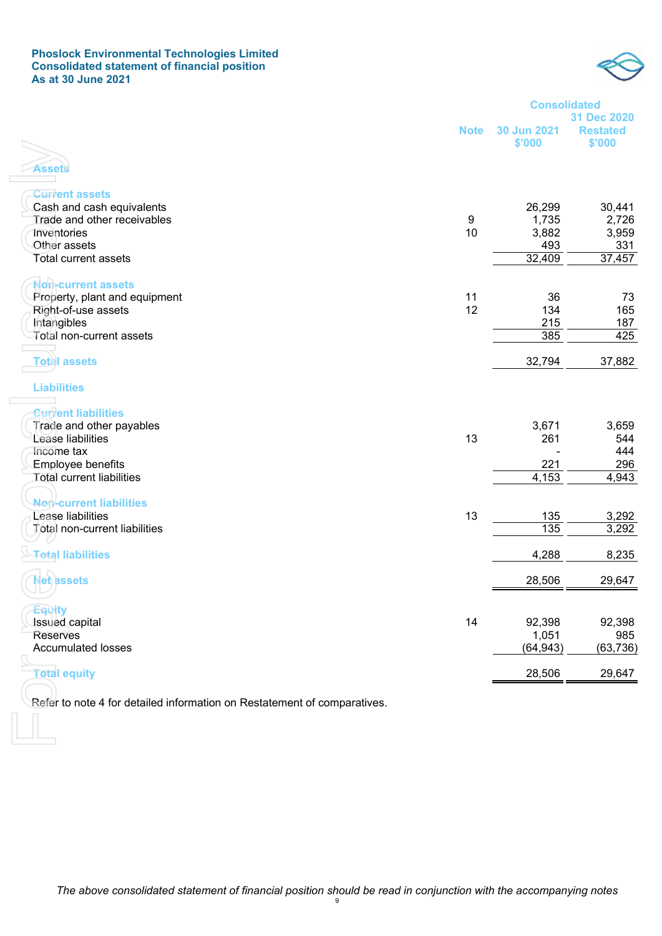#### **Phoslock Environmental Technologies Limited Consolidated statement of financial position As at 30 June 2021**



|                                                                          |                  | <b>Consolidated</b><br>31 Dec 2020 |                           |  |
|--------------------------------------------------------------------------|------------------|------------------------------------|---------------------------|--|
|                                                                          | <b>Note</b>      | 30 Jun 2021<br>\$'000              | <b>Restated</b><br>\$'000 |  |
|                                                                          |                  |                                    |                           |  |
| Assets                                                                   |                  |                                    |                           |  |
| <b>Current assets</b>                                                    |                  |                                    |                           |  |
| Cash and cash equivalents                                                |                  | 26,299                             | 30,441                    |  |
| Trade and other receivables                                              | $\boldsymbol{9}$ | 1,735                              | 2,726                     |  |
| <b>Inventories</b>                                                       | 10               | 3,882                              | 3,959                     |  |
| Other assets<br><b>Total current assets</b>                              |                  | 493<br>32,409                      | 331<br>37,457             |  |
|                                                                          |                  |                                    |                           |  |
| <b>Non-current assets</b>                                                |                  |                                    |                           |  |
| Property, plant and equipment                                            | 11               | 36                                 | 73                        |  |
| Right-of-use assets                                                      | 12               | 134                                | 165                       |  |
| Intangibles                                                              |                  | 215                                | 187                       |  |
| Total non-current assets                                                 |                  | 385                                | 425                       |  |
| <b>Total assets</b>                                                      |                  | 32,794                             | 37,882                    |  |
| <b>Liabilities</b>                                                       |                  |                                    |                           |  |
| <b>Curvent liabilities</b>                                               |                  |                                    |                           |  |
| Trade and other payables                                                 |                  | 3,671                              | 3,659                     |  |
| Lease liabilities                                                        | 13               | 261                                | 544                       |  |
| Income tax                                                               |                  |                                    | 444                       |  |
| <b>Employee benefits</b>                                                 |                  | 221                                | 296                       |  |
| <b>Total current liabilities</b>                                         |                  | 4,153                              | 4,943                     |  |
|                                                                          |                  |                                    |                           |  |
| Nen-current liabilities                                                  |                  |                                    |                           |  |
| Lease liabilities                                                        | 13               | 135                                | 3,292                     |  |
| Total non-current liabilities                                            |                  | 135                                | 3,292                     |  |
| <b>Total liabilities</b>                                                 |                  | 4,288                              | 8,235                     |  |
| <b>Net assets</b>                                                        |                  | 28,506                             | 29,647                    |  |
|                                                                          |                  |                                    |                           |  |
| Equity                                                                   | 14               | 92,398                             |                           |  |
| Issued capital<br><b>Reserves</b>                                        |                  | 1,051                              | 92,398<br>985             |  |
| <b>Accumulated losses</b>                                                |                  | (64, 943)                          | (63, 736)                 |  |
|                                                                          |                  |                                    |                           |  |
| <b>Total equity</b>                                                      |                  | 28,506                             | 29,647                    |  |
| Refer to note 4 for detailed information on Restatement of comparatives. |                  |                                    |                           |  |
|                                                                          |                  |                                    |                           |  |
|                                                                          |                  |                                    |                           |  |
|                                                                          |                  |                                    |                           |  |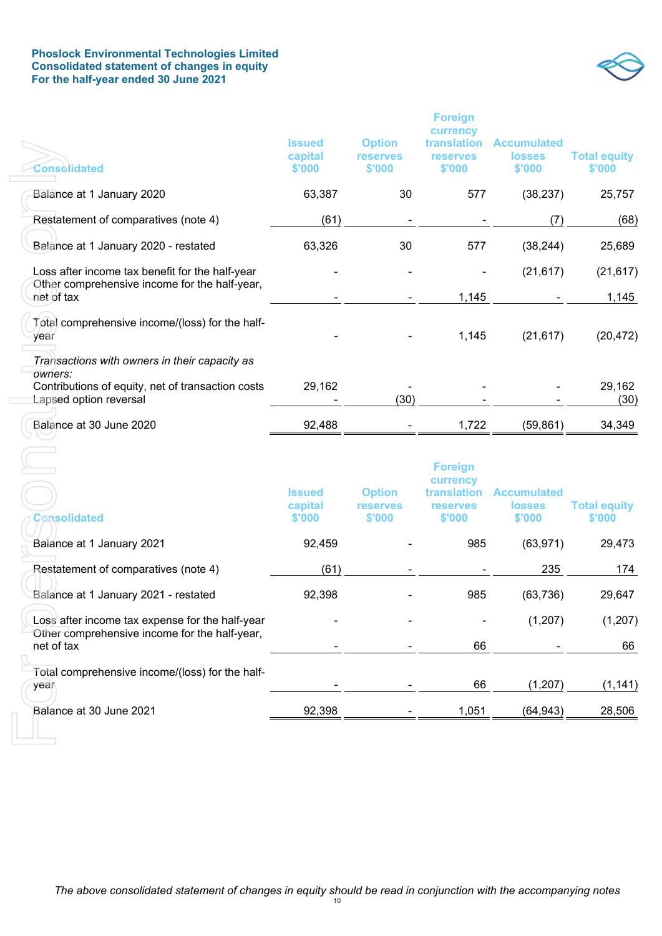#### **Phoslock Environmental Technologies Limited Consolidated statement of changes in equity For the half-year ended 30 June 2021**



| Consolidated                                                                                                                            | <b>Issued</b><br>capital<br>\$'000 | <b>Option</b><br><b>reserves</b><br>\$'000 | <b>Foreign</b><br>currency<br>translation<br><b>reserves</b><br>\$'000        | <b>Accumulated</b><br><b>losses</b><br>\$'000 | <b>Total equity</b><br>\$'000 |
|-----------------------------------------------------------------------------------------------------------------------------------------|------------------------------------|--------------------------------------------|-------------------------------------------------------------------------------|-----------------------------------------------|-------------------------------|
| Balance at 1 January 2020                                                                                                               | 63,387                             | 30                                         | 577                                                                           | (38, 237)                                     | 25,757                        |
| Restatement of comparatives (note 4)                                                                                                    | (61)                               |                                            |                                                                               | (7)                                           | (68)                          |
| Balance at 1 January 2020 - restated                                                                                                    | 63,326                             | 30                                         | 577                                                                           | (38, 244)                                     | 25,689                        |
| Loss after income tax benefit for the half-year<br>Other comprehensive income for the half-year,                                        |                                    |                                            |                                                                               | (21, 617)                                     | (21, 617)                     |
| net of tax                                                                                                                              |                                    |                                            | 1,145                                                                         |                                               | 1,145                         |
| Total comprehensive income/(loss) for the half-<br>year                                                                                 |                                    |                                            | 1,145                                                                         | (21, 617)                                     | (20, 472)                     |
| Transactions with owners in their capacity as<br>owners:<br>Contributions of equity, net of transaction costs<br>Lapsed option reversal | 29,162                             | (30)                                       |                                                                               |                                               | 29,162<br>(30)                |
| Balance at 30 June 2020                                                                                                                 | 92,488                             |                                            | 1,722                                                                         | (59, 861)                                     | 34,349                        |
| Consolidated                                                                                                                            | <b>Issued</b><br>capital<br>\$'000 | <b>Option</b><br><b>reserves</b><br>\$'000 | <b>Foreign</b><br>currency<br><b>translation</b><br><b>reserves</b><br>\$'000 | <b>Accumulated</b><br><b>losses</b><br>\$'000 | <b>Total equity</b><br>\$'000 |
| Balance at 1 January 2021                                                                                                               | 92,459                             |                                            | 985                                                                           | (63, 971)                                     | 29,473                        |
| Restatement of comparatives (note 4)                                                                                                    | (61)                               |                                            |                                                                               | 235                                           | 174                           |
| Balance at 1 January 2021 - restated                                                                                                    | 92,398                             |                                            | 985                                                                           | (63, 736)                                     | 29,647                        |
| Loss after income tax expense for the half-year<br>Other comprehensive income for the half-year,                                        |                                    |                                            |                                                                               | (1, 207)                                      | (1, 207)                      |
| net of tax                                                                                                                              |                                    |                                            | 66                                                                            |                                               | 66                            |
| Total comprehensive income/(loss) for the half-<br>year                                                                                 |                                    |                                            | 66                                                                            | (1, 207)                                      | (1, 141)                      |
| Balance at 30 June 2021                                                                                                                 | 92,398                             |                                            | 1,051                                                                         | (64, 943)                                     | 28,506                        |
|                                                                                                                                         |                                    |                                            |                                                                               |                                               |                               |

| Consolidated                                                                                     | <b>Issued</b><br>capital<br>\$'000 | <b>Option</b><br><b>reserves</b><br>\$'000 | <b>Foreign</b><br>currency<br>translation<br><b>reserves</b><br>\$'000 | <b>Accumulated</b><br><b>losses</b><br>\$'000 | <b>Total equity</b><br>\$'000 |
|--------------------------------------------------------------------------------------------------|------------------------------------|--------------------------------------------|------------------------------------------------------------------------|-----------------------------------------------|-------------------------------|
| Balance at 1 January 2021                                                                        | 92,459                             |                                            | 985                                                                    | (63, 971)                                     | 29,473                        |
| Restatement of comparatives (note 4)                                                             | (61)                               |                                            |                                                                        | 235                                           | 174                           |
| Balance at 1 January 2021 - restated                                                             | 92,398                             |                                            | 985                                                                    | (63, 736)                                     | 29,647                        |
| Loss after income tax expense for the half-year<br>Other comprehensive income for the half-year, |                                    |                                            |                                                                        | (1,207)                                       | (1,207)                       |
| net of tax                                                                                       |                                    |                                            | 66                                                                     |                                               | 66                            |
| Total comprehensive income/(loss) for the half-<br>year                                          |                                    |                                            | 66                                                                     | (1,207)                                       | (1, 141)                      |
| Balance at 30 June 2021                                                                          | 92,398                             |                                            | 1,051                                                                  | (64, 943)                                     | 28,506                        |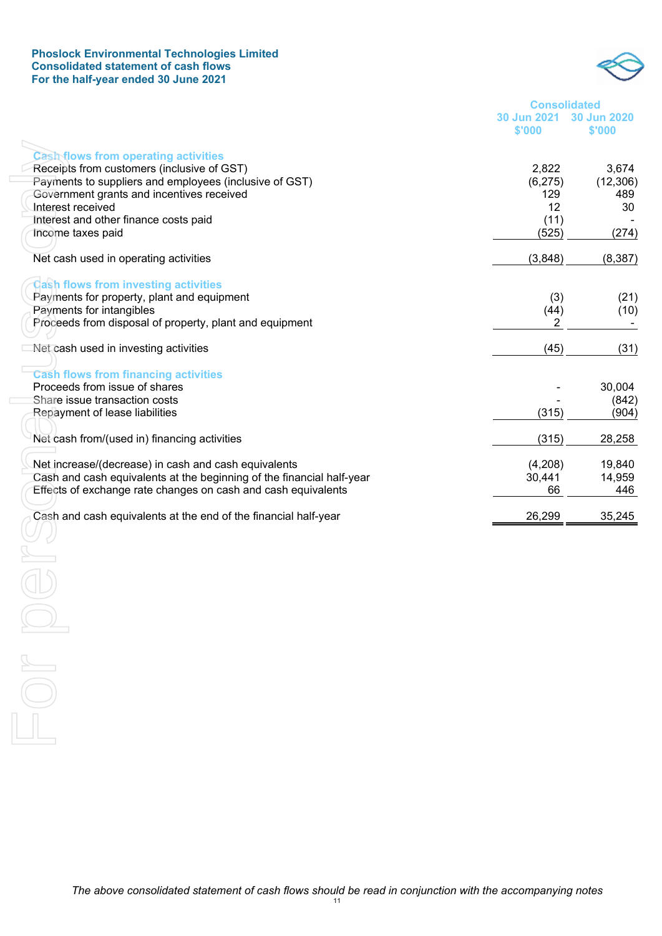#### **Phoslock Environmental Technologies Limited Consolidated statement of cash flows For the half-year ended 30 June 2021**



| <b>Consolidated</b>     |        |  |  |  |  |  |  |  |
|-------------------------|--------|--|--|--|--|--|--|--|
| 30 Jun 2021 30 Jun 2020 |        |  |  |  |  |  |  |  |
| \$'000                  | \$'000 |  |  |  |  |  |  |  |

| <b>Cash-flows from operating activities</b>                                                          |                  |                   |
|------------------------------------------------------------------------------------------------------|------------------|-------------------|
| Receipts from customers (inclusive of GST)<br>Payments to suppliers and employees (inclusive of GST) | 2,822<br>(6,275) | 3,674<br>(12,306) |
| Government grants and incentives received                                                            | 129              | 489               |
| Interest received                                                                                    | 12               | 30                |
| Interest and other finance costs paid                                                                | (11)             |                   |
| Income taxes paid                                                                                    | (525)            | (274)             |
| Net cash used in operating activities                                                                | (3,848)          | (8, 387)          |
| Cash flows from investing activities                                                                 |                  |                   |
| Payments for property, plant and equipment                                                           | (3)              | (21)              |
| Payments for intangibles                                                                             | (44)             | (10)              |
| Proceeds from disposal of property, plant and equipment                                              | 2                |                   |
| Net cash used in investing activities                                                                | (45)             | (31)              |
| <b>Cash flows from financing activities</b>                                                          |                  |                   |
| Proceeds from issue of shares                                                                        |                  | 30,004            |
| Share issue transaction costs                                                                        |                  | (842)             |
| Repayment of lease liabilities                                                                       | (315)            | (904)             |
| Net cash from/(used in) financing activities                                                         | (315)            | 28,258            |
| Net increase/(decrease) in cash and cash equivalents                                                 | (4,208)          | 19,840            |
| Cash and cash equivalents at the beginning of the financial half-year                                | 30,441           | 14,959            |
| Effects of exchange rate changes on cash and cash equivalents                                        | 66               | 446               |
| Cash and cash equivalents at the end of the financial half-year                                      | 26,299           | 35,245            |
|                                                                                                      |                  |                   |
|                                                                                                      |                  |                   |
|                                                                                                      |                  |                   |
|                                                                                                      |                  |                   |
|                                                                                                      |                  |                   |
|                                                                                                      |                  |                   |
|                                                                                                      |                  |                   |
|                                                                                                      |                  |                   |
|                                                                                                      |                  |                   |
|                                                                                                      |                  |                   |
|                                                                                                      |                  |                   |

*The above consolidated statement of cash flows should be read in conjunction with the accompanying notes*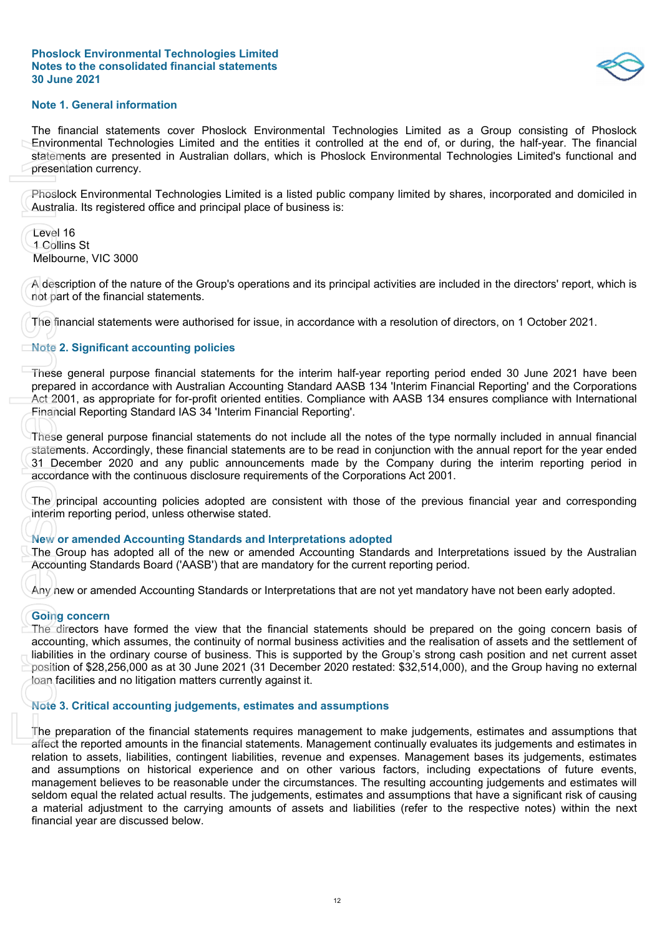$$
\Diamond
$$

#### **Note 1. General information**

The financial statements cover Phoslock Environmental Technologies Limited as a Group consisting of Phoslock Environmental Technologies Limited and the entities it controlled at the end of, or during, the half-year. The financial statements are presented in Australian dollars, which is Phoslock Environmental Technologies Limited's functional and presentation currency.

Phoslock Environmental Technologies Limited is a listed public company limited by shares, incorporated and domiciled in Australia. Its registered office and principal place of business is:

Level 16 1 Collins St Melbourne, VIC 3000

A description of the nature of the Group's operations and its principal activities are included in the directors' report, which is not part of the financial statements.

The financial statements were authorised for issue, in accordance with a resolution of directors, on 1 October 2021.

#### **Note 2. Significant accounting policies**

These general purpose financial statements for the interim half-year reporting period ended 30 June 2021 have been prepared in accordance with Australian Accounting Standard AASB 134 'Interim Financial Reporting' and the Corporations Act 2001, as appropriate for for-profit oriented entities. Compliance with AASB 134 ensures compliance with International Financial Reporting Standard IAS 34 'Interim Financial Reporting'.

These general purpose financial statements do not include all the notes of the type normally included in annual financial statements. Accordingly, these financial statements are to be read in conjunction with the annual report for the year ended 31 December 2020 and any public announcements made by the Company during the interim reporting period in accordance with the continuous disclosure requirements of the Corporations Act 2001.

The principal accounting policies adopted are consistent with those of the previous financial year and corresponding interim reporting period, unless otherwise stated.

#### **New or amended Accounting Standards and Interpretations adopted**

The Group has adopted all of the new or amended Accounting Standards and Interpretations issued by the Australian Accounting Standards Board ('AASB') that are mandatory for the current reporting period.

Any new or amended Accounting Standards or Interpretations that are not yet mandatory have not been early adopted.

#### **Going concern**

The directors have formed the view that the financial statements should be prepared on the going concern basis of accounting, which assumes, the continuity of normal business activities and the realisation of assets and the settlement of liabilities in the ordinary course of business. This is supported by the Group's strong cash position and net current asset position of \$28,256,000 as at 30 June 2021 (31 December 2020 restated: \$32,514,000), and the Group having no external loan facilities and no litigation matters currently against it.

#### **Note 3. Critical accounting judgements, estimates and assumptions**

The preparation of the financial statements requires management to make judgements, estimates and assumptions that affect the reported amounts in the financial statements. Management continually evaluates its judgements and estimates in relation to assets, liabilities, contingent liabilities, revenue and expenses. Management bases its judgements, estimates and assumptions on historical experience and on other various factors, including expectations of future events, management believes to be reasonable under the circumstances. The resulting accounting judgements and estimates will seldom equal the related actual results. The judgements, estimates and assumptions that have a significant risk of causing a material adjustment to the carrying amounts of assets and liabilities (refer to the respective notes) within the next Environmental Technologies Limited Technologies Limited Teresentation currency.<br>
Thoslock Environmental Technology<br>
Australia. Its registered office and p<br>
Level 16<br>
1 Collins St<br>
Melbourne, VIC 3000<br>
A description of the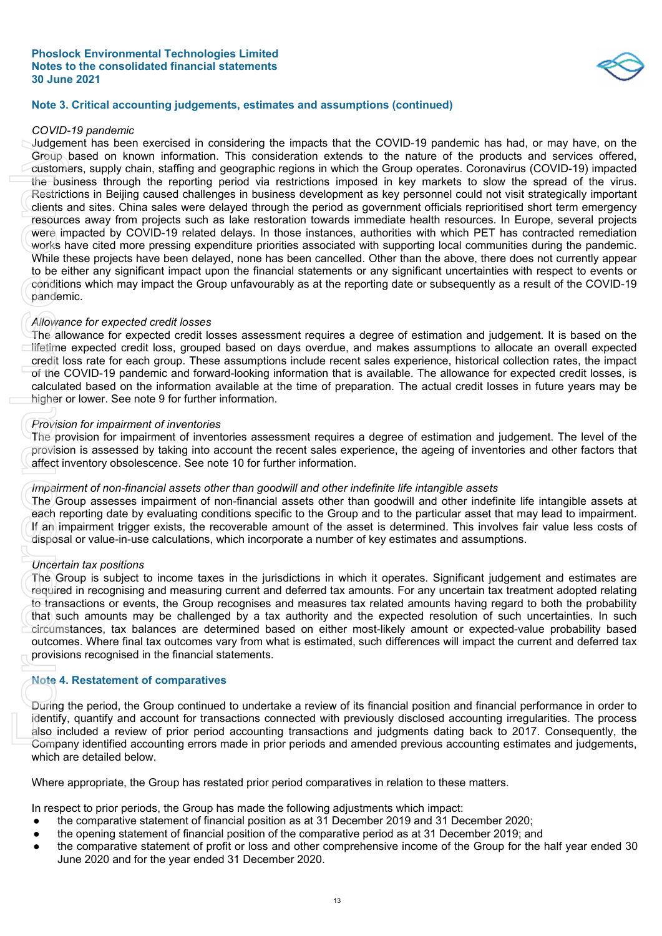

#### **Note 3. Critical accounting judgements, estimates and assumptions (continued)**

#### *COVID-19 pandemic*

Judgement has been exercised in considering the impacts that the COVID-19 pandemic has had, or may have, on the Group based on known information. This consideration extends to the nature of the products and services offered, customers, supply chain, staffing and geographic regions in which the Group operates. Coronavirus (COVID-19) impacted the business through the reporting period via restrictions imposed in key markets to slow the spread of the virus. Restrictions in Beijing caused challenges in business development as key personnel could not visit strategically important clients and sites. China sales were delayed through the period as government officials reprioritised short term emergency resources away from projects such as lake restoration towards immediate health resources. In Europe, several projects were impacted by COVID-19 related delays. In those instances, authorities with which PET has contracted remediation works have cited more pressing expenditure priorities associated with supporting local communities during the pandemic. While these projects have been delayed, none has been cancelled. Other than the above, there does not currently appear to be either any significant impact upon the financial statements or any significant uncertainties with respect to events or conditions which may impact the Group unfavourably as at the reporting date or subsequently as a result of the COVID-19 pandemic. June means been exercted or early ended to consider the impeats<br>of Group based on known information. This consideration cutting the customers, supply then it at fifting and geographic regions in the intermediations in the

#### *Allowance for expected credit losses*

The allowance for expected credit losses assessment requires a degree of estimation and judgement. It is based on the lifetime expected credit loss, grouped based on days overdue, and makes assumptions to allocate an overall expected credit loss rate for each group. These assumptions include recent sales experience, historical collection rates, the impact of the COVID-19 pandemic and forward-looking information that is available. The allowance for expected credit losses, is calculated based on the information available at the time of preparation. The actual credit losses in future years may be higher or lower. See note 9 for further information.

#### *Provision for impairment of inventories*

The provision for impairment of inventories assessment requires a degree of estimation and judgement. The level of the provision is assessed by taking into account the recent sales experience, the ageing of inventories and other factors that affect inventory obsolescence. See note 10 for further information.

#### *Impairment of non-financial assets other than goodwill and other indefinite life intangible assets*

The Group assesses impairment of non-financial assets other than goodwill and other indefinite life intangible assets at each reporting date by evaluating conditions specific to the Group and to the particular asset that may lead to impairment. If an impairment trigger exists, the recoverable amount of the asset is determined. This involves fair value less costs of disposal or value-in-use calculations, which incorporate a number of key estimates and assumptions.

#### *Uncertain tax positions*

The Group is subject to income taxes in the jurisdictions in which it operates. Significant judgement and estimates are required in recognising and measuring current and deferred tax amounts. For any uncertain tax treatment adopted relating to transactions or events, the Group recognises and measures tax related amounts having regard to both the probability that such amounts may be challenged by a tax authority and the expected resolution of such uncertainties. In such circumstances, tax balances are determined based on either most-likely amount or expected-value probability based outcomes. Where final tax outcomes vary from what is estimated, such differences will impact the current and deferred tax provisions recognised in the financial statements.

#### **Note 4. Restatement of comparatives**

During the period, the Group continued to undertake a review of its financial position and financial performance in order to identify, quantify and account for transactions connected with previously disclosed accounting irregularities. The process also included a review of prior period accounting transactions and judgments dating back to 2017. Consequently, the Company identified accounting errors made in prior periods and amended previous accounting estimates and judgements, which are detailed below.

Where appropriate, the Group has restated prior period comparatives in relation to these matters.

In respect to prior periods, the Group has made the following adjustments which impact:

- the comparative statement of financial position as at 31 December 2019 and 31 December 2020;
- the opening statement of financial position of the comparative period as at 31 December 2019; and
- the comparative statement of profit or loss and other comprehensive income of the Group for the half year ended 30<br>June 2020 and for the year ended 31 December 2020.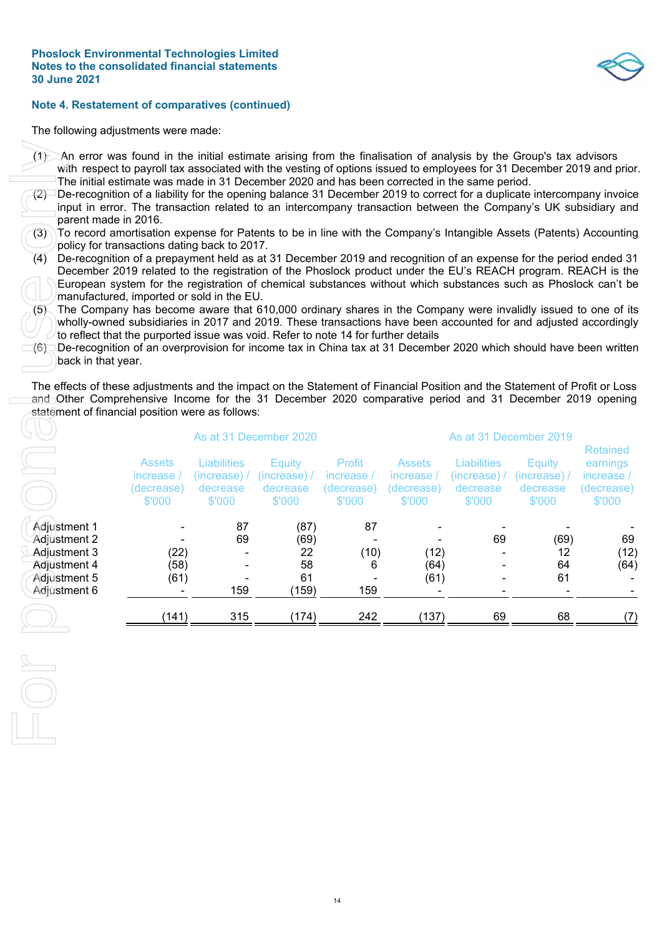#### **Note 4. Restatement of comparatives (continued)**

The following adjustments were made:

- (1) An error was found in the initial estimate arising from the finalisation of analysis by the Group's tax advisors with respect to payroll tax associated with the vesting of options issued to employees for 31 December 2019 and prior. The initial estimate was made in 31 December 2020 and has been corrected in the same period.
- (2) De-recognition of a liability for the opening balance 31 December 2019 to correct for a duplicate intercompany invoice input in error. The transaction related to an intercompany transaction between the Company's UK subsidiary and parent made in 2016.
- To record amortisation expense for Patents to be in line with the Company's Intangible Assets (Patents) Accounting policy for transactions dating back to 2017.
- (4) De-recognition of a prepayment held as at 31 December 2019 and recognition of an expense for the period ended 31 December 2019 related to the registration of the Phoslock product under the EU's REACH program. REACH is the European system for the registration of chemical substances without which substances such as Phoslock can't be manufactured, imported or sold in the EU.
- (5) The Company has become aware that 610,000 ordinary shares in the Company were invalidly issued to one of its wholly-owned subsidiaries in 2017 and 2019. These transactions have been accounted for and adjusted accordingly to reflect that the purported issue was void. Refer to note 14 for further details
- (6) De-recognition of an overprovision for income tax in China tax at 31 December 2020 which should have been written back in that year.

| An error was found in the initial estimate arising from the finalisation of analysis by the Group's tax advisors<br>$\omega$<br>with respect to payroll tax associated with the vesting of options issued to employees for 31 December 2019 and prior<br>The initial estimate was made in 31 December 2020 and has been corrected in the same period.<br>De-recognition of a liability for the opening balance 31 December 2019 to correct for a duplicate intercompany invoice<br>(2)<br>input in error. The transaction related to an intercompany transaction between the Company's UK subsidiary and<br>parent made in 2016.<br>To record amortisation expense for Patents to be in line with the Company's Intangible Assets (Patents) Accounting<br>(3)<br>policy for transactions dating back to 2017.<br>(4)<br>De-recognition of a prepayment held as at 31 December 2019 and recognition of an expense for the period ended 31<br>December 2019 related to the registration of the Phoslock product under the EU's REACH program. REACH is the<br>European system for the registration of chemical substances without which substances such as Phoslock can't be<br>manufactured, imported or sold in the EU.<br>The Company has become aware that 610,000 ordinary shares in the Company were invalidly issued to one of its<br>(5)<br>wholly-owned subsidiaries in 2017 and 2019. These transactions have been accounted for and adjusted accordingly<br>to reflect that the purported issue was void. Refer to note 14 for further details<br>De-recognition of an overprovision for income tax in China tax at 31 December 2020 which should have been writter<br>$(6)$ .<br>back in that year.<br>The effects of these adjustments and the impact on the Statement of Financial Position and the Statement of Profit or Loss<br>and Other Comprehensive Income for the 31 December 2020 comparative period and 31 December 2019 opening |                                                     |                                                          |                                                     |                                              |                                                     |                                                   |                                                     |                                                                   |
|--------------------------------------------------------------------------------------------------------------------------------------------------------------------------------------------------------------------------------------------------------------------------------------------------------------------------------------------------------------------------------------------------------------------------------------------------------------------------------------------------------------------------------------------------------------------------------------------------------------------------------------------------------------------------------------------------------------------------------------------------------------------------------------------------------------------------------------------------------------------------------------------------------------------------------------------------------------------------------------------------------------------------------------------------------------------------------------------------------------------------------------------------------------------------------------------------------------------------------------------------------------------------------------------------------------------------------------------------------------------------------------------------------------------------------------------------------------------------------------------------------------------------------------------------------------------------------------------------------------------------------------------------------------------------------------------------------------------------------------------------------------------------------------------------------------------------------------------------------------------------------------------------------------------------------------------------------|-----------------------------------------------------|----------------------------------------------------------|-----------------------------------------------------|----------------------------------------------|-----------------------------------------------------|---------------------------------------------------|-----------------------------------------------------|-------------------------------------------------------------------|
| statement of financial position were as follows:                                                                                                                                                                                                                                                                                                                                                                                                                                                                                                                                                                                                                                                                                                                                                                                                                                                                                                                                                                                                                                                                                                                                                                                                                                                                                                                                                                                                                                                                                                                                                                                                                                                                                                                                                                                                                                                                                                       |                                                     |                                                          | As at 31 December 2020                              |                                              |                                                     | As at 31 December 2019                            |                                                     |                                                                   |
|                                                                                                                                                                                                                                                                                                                                                                                                                                                                                                                                                                                                                                                                                                                                                                                                                                                                                                                                                                                                                                                                                                                                                                                                                                                                                                                                                                                                                                                                                                                                                                                                                                                                                                                                                                                                                                                                                                                                                        | <b>Assets</b><br>increase /<br>(decrease)<br>\$'000 | <b>Liabilities</b><br>(increase) /<br>decrease<br>\$'000 | <b>Equity</b><br>(increase) /<br>decrease<br>\$'000 | Profit<br>increase /<br>(decrease)<br>\$'000 | <b>Assets</b><br>increase /<br>(decrease)<br>\$'000 | Liabilities<br>(increase) /<br>decrease<br>\$'000 | <b>Equity</b><br>(increase) /<br>decrease<br>\$'000 | <b>Retained</b><br>earnings<br>increase /<br>(decrease)<br>\$'000 |
| Adjustment 1<br>Adjustment 2<br>Adjustment 3<br>Adjustment 4<br>Adjustment 5<br>Adjustment 6                                                                                                                                                                                                                                                                                                                                                                                                                                                                                                                                                                                                                                                                                                                                                                                                                                                                                                                                                                                                                                                                                                                                                                                                                                                                                                                                                                                                                                                                                                                                                                                                                                                                                                                                                                                                                                                           | (22)<br>(58)<br>(61)                                | 87<br>69<br>159                                          | (87)<br>(69)<br>22<br>58<br>61<br>(159)             | 87<br>(10)<br>6<br>159                       | (12)<br>(64)<br>(61)                                | 69                                                | (69)<br>12<br>64<br>61                              | 69<br>(12)<br>(64)                                                |
|                                                                                                                                                                                                                                                                                                                                                                                                                                                                                                                                                                                                                                                                                                                                                                                                                                                                                                                                                                                                                                                                                                                                                                                                                                                                                                                                                                                                                                                                                                                                                                                                                                                                                                                                                                                                                                                                                                                                                        | (141)                                               | 315                                                      | (174)                                               | 242                                          | (137)                                               | 69                                                | 68                                                  | (7)                                                               |
|                                                                                                                                                                                                                                                                                                                                                                                                                                                                                                                                                                                                                                                                                                                                                                                                                                                                                                                                                                                                                                                                                                                                                                                                                                                                                                                                                                                                                                                                                                                                                                                                                                                                                                                                                                                                                                                                                                                                                        |                                                     |                                                          |                                                     |                                              |                                                     |                                                   |                                                     |                                                                   |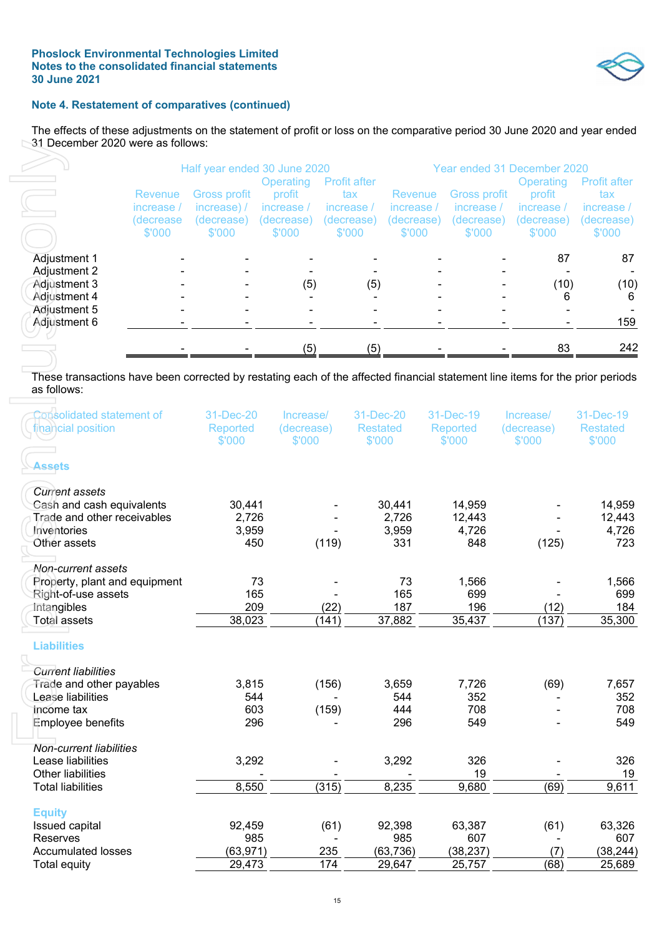

## **Note 4. Restatement of comparatives (continued)**

The effects of these adjustments on the statement of profit or loss on the comparative period 30 June 2020 and year ended 31 December 2020 were as follows:

|                                              |                                              | Half year ended 30 June 2020                               | Operating                                    | Profit after                              | Year ended 31 December 2020<br><b>Profit after</b><br>Operating |                                                    |                                              |                                            |  |
|----------------------------------------------|----------------------------------------------|------------------------------------------------------------|----------------------------------------------|-------------------------------------------|-----------------------------------------------------------------|----------------------------------------------------|----------------------------------------------|--------------------------------------------|--|
|                                              | Revenue<br>increase /<br>(decrease<br>\$'000 | <b>Gross profit</b><br>increase) /<br>(decrease)<br>\$'000 | profit<br>increase /<br>(decrease)<br>\$'000 | tax<br>increase /<br>(decrease)<br>\$'000 | <b>Revenue</b><br>increase<br>(decrease)<br>\$'000              | Gross profit<br>increase /<br>(decrease)<br>\$'000 | profit<br>increase /<br>(decrease)<br>\$'000 | tax.<br>increase /<br>(decrease)<br>\$'000 |  |
| <b>Adjustment 1</b>                          |                                              |                                                            |                                              |                                           |                                                                 |                                                    | 87                                           | 87                                         |  |
| Adjustment 2<br>Adjustment 3<br>Adjustment 4 |                                              |                                                            | (5)                                          | (5)                                       |                                                                 |                                                    | (10)<br>6                                    | (10)<br>6                                  |  |
| Adjustment 5<br>Adjustment 6                 |                                              |                                                            |                                              |                                           |                                                                 |                                                    |                                              | 159                                        |  |
|                                              |                                              |                                                            | (5)                                          | (5)                                       |                                                                 |                                                    | 83                                           | 242                                        |  |

|                                                                                                                                              |                         | Half year ended 30 June 2020 |                      |                            |                 | Year ended 31 December 2020 |                                   |                            |                     |  |
|----------------------------------------------------------------------------------------------------------------------------------------------|-------------------------|------------------------------|----------------------|----------------------------|-----------------|-----------------------------|-----------------------------------|----------------------------|---------------------|--|
|                                                                                                                                              |                         | <b>Gross profit</b>          | Operating<br>profit  | <b>Profit after</b><br>tax |                 |                             |                                   | <b>Operating</b><br>profit | Profit after<br>tax |  |
|                                                                                                                                              | <b>Revenue</b>          | increase) /                  | increase /           |                            |                 | Revenue<br>increase /       | <b>Gross profit</b><br>increase / | increase /                 | increase /          |  |
|                                                                                                                                              | increase /<br>(decrease |                              |                      | increase /                 |                 |                             |                                   |                            | (decrease)          |  |
|                                                                                                                                              | \$'000                  | (decrease)<br>\$'000         | (decrease)<br>\$'000 | (decrease)<br>\$'000       |                 | (decrease)<br>\$'000        | (decrease)<br>\$'000              | (decrease)<br>\$'000       | \$'000              |  |
|                                                                                                                                              |                         |                              |                      |                            |                 |                             |                                   |                            |                     |  |
| Adjustment 1                                                                                                                                 |                         |                              |                      |                            |                 |                             |                                   | 87                         | 87                  |  |
| Adjustment 2<br>Adjustment 3                                                                                                                 |                         |                              |                      |                            |                 |                             |                                   | (10)                       |                     |  |
| Adjustment 4                                                                                                                                 |                         |                              | (5)                  |                            | (5)             |                             |                                   | 6                          | (10)<br>6           |  |
| Adjustment 5                                                                                                                                 |                         |                              |                      |                            |                 |                             |                                   |                            |                     |  |
| Adjustment 6                                                                                                                                 |                         |                              |                      |                            |                 |                             |                                   |                            | 159                 |  |
|                                                                                                                                              |                         |                              |                      |                            |                 |                             |                                   |                            |                     |  |
|                                                                                                                                              |                         |                              | (5)                  |                            | (5)             |                             |                                   | 83                         | 242                 |  |
|                                                                                                                                              |                         |                              |                      |                            |                 |                             |                                   |                            |                     |  |
| These transactions have been corrected by restating each of the affected financial statement line items for the prior periods<br>as follows: |                         |                              |                      |                            |                 |                             |                                   |                            |                     |  |
| Consolidated statement of                                                                                                                    |                         | 31-Dec-20                    | Increase/            |                            | 31-Dec-20       |                             | 31-Dec-19                         | Increase/                  | 31-Dec-19           |  |
| financial position                                                                                                                           |                         | Reported                     | (decrease)           |                            | <b>Restated</b> |                             | Reported                          | (decrease)                 | <b>Restated</b>     |  |
|                                                                                                                                              |                         | \$'000                       | \$'000               |                            | \$'000          |                             | \$'000                            | \$'000                     | \$'000              |  |
|                                                                                                                                              |                         |                              |                      |                            |                 |                             |                                   |                            |                     |  |
| <b>Assets</b>                                                                                                                                |                         |                              |                      |                            |                 |                             |                                   |                            |                     |  |
| <b>Current assets</b>                                                                                                                        |                         |                              |                      |                            |                 |                             |                                   |                            |                     |  |
| Cash and cash equivalents                                                                                                                    |                         | 30,441                       |                      |                            |                 | 30,441                      | 14,959                            |                            | 14,959              |  |
| Trade and other receivables                                                                                                                  |                         | 2,726                        |                      |                            |                 | 2,726                       | 12,443                            |                            | 12,443              |  |
| Inventories                                                                                                                                  |                         | 3,959                        |                      |                            |                 | 3,959                       | 4,726                             |                            | 4,726               |  |
| Other assets                                                                                                                                 |                         | 450                          |                      | (119)                      |                 | 331                         | 848                               | (125)                      | 723                 |  |
|                                                                                                                                              |                         |                              |                      |                            |                 |                             |                                   |                            |                     |  |
| Non-current assets                                                                                                                           |                         |                              |                      |                            |                 |                             |                                   |                            |                     |  |
| Property, plant and equipment                                                                                                                |                         | 73                           |                      |                            |                 | 73                          | 1,566                             |                            | 1,566               |  |
| Right-of-use assets                                                                                                                          |                         | 165                          |                      |                            |                 | 165                         | 699                               |                            | 699                 |  |
| Intangibles                                                                                                                                  |                         | 209                          |                      | (22)                       |                 | 187                         | 196                               | (12)                       | 184                 |  |
| <b>Total assets</b>                                                                                                                          |                         | 38,023                       |                      | (141)                      |                 | 37,882                      | 35,437                            | (137)                      | 35,300              |  |
| <b>Liabilities</b>                                                                                                                           |                         |                              |                      |                            |                 |                             |                                   |                            |                     |  |
| <b>Current liabilities</b>                                                                                                                   |                         |                              |                      |                            |                 |                             |                                   |                            |                     |  |
| Trade and other payables                                                                                                                     |                         | 3,815                        |                      | (156)                      |                 | 3,659                       | 7,726                             | (69)                       | 7,657               |  |
| Lease liabilities                                                                                                                            |                         | 544                          |                      |                            |                 | 544                         | 352                               | $\blacksquare$             | 352                 |  |
| Income tax                                                                                                                                   |                         | 603                          |                      | (159)                      |                 | 444                         | 708                               |                            | 708                 |  |
| <b>Employee benefits</b>                                                                                                                     |                         | 296                          |                      |                            |                 | 296                         | 549                               |                            | 549                 |  |
| <b>Non-current liabilities</b>                                                                                                               |                         |                              |                      |                            |                 |                             |                                   |                            |                     |  |
| Lease liabilities                                                                                                                            |                         | 3,292                        |                      |                            |                 | 3,292                       | 326                               |                            | 326                 |  |
| Other liabilities                                                                                                                            |                         |                              |                      |                            |                 |                             | 19                                |                            | 19                  |  |
| <b>Total liabilities</b>                                                                                                                     |                         | 8,550                        |                      | (315)                      |                 | 8,235                       | 9,680                             | (69)                       | 9,611               |  |
| <b>Equity</b>                                                                                                                                |                         |                              |                      |                            |                 |                             |                                   |                            |                     |  |
| Issued capital                                                                                                                               |                         | 92,459                       |                      | (61)                       |                 | 92,398                      | 63,387                            | (61)                       | 63,326              |  |
| Reserves                                                                                                                                     |                         | 985                          |                      |                            |                 | 985                         | 607                               |                            | 607                 |  |
| <b>Accumulated losses</b>                                                                                                                    |                         | (63, 971)                    |                      | 235                        |                 | (63, 736)                   | (38, 237)                         | (7)                        | (38, 244)           |  |
| Total equity                                                                                                                                 |                         | 29,473                       |                      | 174                        |                 | 29,647                      | 25,757                            | (68)                       | 25,689              |  |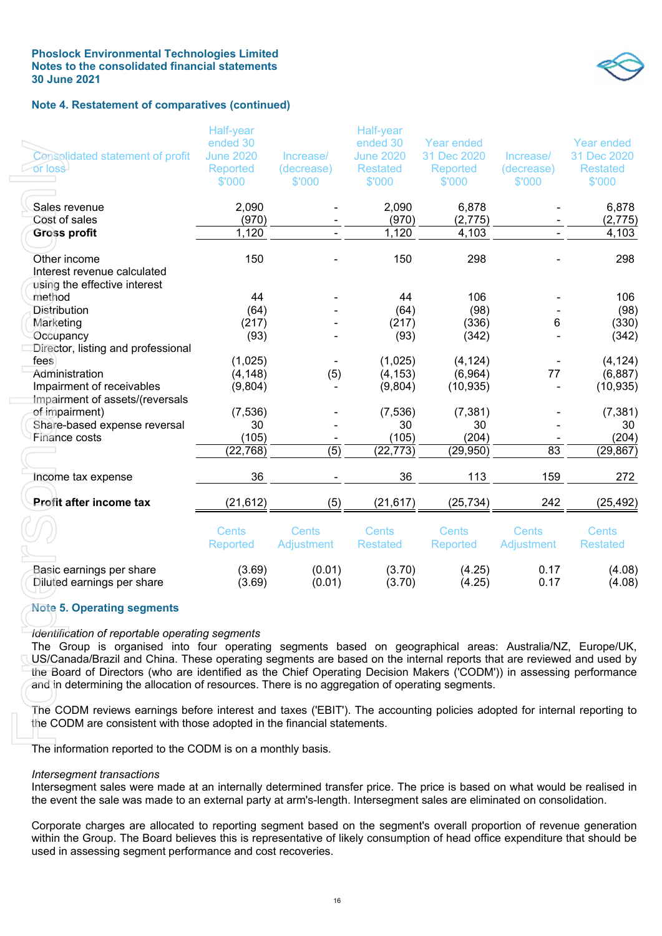#### **Phoslock Environmental Technologies Limited Notes to the consolidated financial statements 30 June 2021**



#### **Note 4. Restatement of comparatives (continued)**

| Consolidated statement of profit<br><b>For loss</b>                                                                                                                                                                                                                                                                       | <b>Half-year</b><br>ended 30<br><b>June 2020</b><br>Reported<br>\$'000 | Increase/<br>(decrease)<br>\$'000 | Half-year<br>ended 30<br><b>June 2020</b><br><b>Restated</b><br>\$'000 | Year ended<br>31 Dec 2020<br>Reported<br>\$'000 | Increase/<br>(decrease)<br>\$'000 | <b>Year ended</b><br>31 Dec 2020<br><b>Restated</b><br>\$'000 |
|---------------------------------------------------------------------------------------------------------------------------------------------------------------------------------------------------------------------------------------------------------------------------------------------------------------------------|------------------------------------------------------------------------|-----------------------------------|------------------------------------------------------------------------|-------------------------------------------------|-----------------------------------|---------------------------------------------------------------|
| Sales revenue<br>Cost of sales                                                                                                                                                                                                                                                                                            | 2,090<br>(970)                                                         |                                   | 2,090<br>(970)                                                         | 6,878<br>(2,775)                                |                                   | 6,878<br>(2, 775)                                             |
| <b>Gross profit</b>                                                                                                                                                                                                                                                                                                       | 1,120                                                                  |                                   | 1,120                                                                  | 4,103                                           |                                   | 4,103                                                         |
| Other income<br>Interest revenue calculated<br>using the effective interest                                                                                                                                                                                                                                               | 150                                                                    |                                   | 150                                                                    | 298                                             |                                   | 298                                                           |
| method                                                                                                                                                                                                                                                                                                                    | 44                                                                     |                                   | 44                                                                     | 106                                             |                                   | 106                                                           |
| <b>Distribution</b>                                                                                                                                                                                                                                                                                                       | (64)                                                                   |                                   | (64)                                                                   | (98)                                            |                                   | (98)                                                          |
| Marketing                                                                                                                                                                                                                                                                                                                 | (217)                                                                  |                                   | (217)                                                                  | (336)                                           | 6                                 | (330)                                                         |
| Occupancy<br>Director, listing and professional                                                                                                                                                                                                                                                                           | (93)                                                                   |                                   | (93)                                                                   | (342)                                           |                                   | (342)                                                         |
| fees                                                                                                                                                                                                                                                                                                                      | (1,025)                                                                |                                   | (1,025)                                                                | (4, 124)                                        |                                   | (4, 124)                                                      |
| Administration                                                                                                                                                                                                                                                                                                            | (4, 148)                                                               | (5)                               | (4, 153)                                                               | (6,964)                                         | 77                                | (6, 887)                                                      |
| Impairment of receivables                                                                                                                                                                                                                                                                                                 | (9,804)                                                                |                                   | (9,804)                                                                | (10, 935)                                       |                                   | (10, 935)                                                     |
| Impairment of assets/(reversals                                                                                                                                                                                                                                                                                           |                                                                        |                                   |                                                                        |                                                 |                                   |                                                               |
| of impairment)<br>Share-based expense reversal                                                                                                                                                                                                                                                                            | (7, 536)<br>30                                                         |                                   | (7, 536)<br>30                                                         | (7, 381)<br>30                                  |                                   | (7, 381)<br>30                                                |
| Finance costs                                                                                                                                                                                                                                                                                                             | (105)                                                                  |                                   | (105)                                                                  | (204)                                           |                                   | (204)                                                         |
|                                                                                                                                                                                                                                                                                                                           | (22, 768)                                                              | (5)                               | (22, 773)                                                              | (29, 950)                                       | 83                                | (29, 867)                                                     |
| Income tax expense                                                                                                                                                                                                                                                                                                        | 36                                                                     |                                   | 36                                                                     | 113                                             | 159                               | 272                                                           |
| Profit after income tax                                                                                                                                                                                                                                                                                                   | (21, 612)                                                              | (5)                               | (21, 617)                                                              | (25, 734)                                       | 242                               | (25, 492)                                                     |
|                                                                                                                                                                                                                                                                                                                           | <b>Cents</b><br>Reported                                               | Cents<br>Adjustment               | <b>Cents</b><br><b>Restated</b>                                        | <b>Cents</b><br>Reported                        | Cents<br>Adjustment               | <b>Cents</b><br><b>Restated</b>                               |
| Basic earnings per share<br>Diluted earnings per share                                                                                                                                                                                                                                                                    | (3.69)<br>(3.69)                                                       | (0.01)<br>(0.01)                  | (3.70)<br>(3.70)                                                       | (4.25)<br>(4.25)                                | 0.17<br>0.17                      | (4.08)<br>(4.08)                                              |
| <b>Note 5. Operating segments</b><br>Identification of reportable operating segments<br>The Group is organised into four operating segments based on geographical areas: Australia/NZ, Europe/UK,<br>US/Canada/Brazil and China. These operating segments are based on the internal reports that are reviewed and used by |                                                                        |                                   |                                                                        |                                                 |                                   |                                                               |
| the Board of Directors (who are identified as the Chief Operating Decision Makers ('CODM')) in assessing performance<br>and in determining the allocation of resources. There is no aggregation of operating segments.                                                                                                    |                                                                        |                                   |                                                                        |                                                 |                                   |                                                               |
| The CODM reviews earnings before interest and taxes ('EBIT'). The accounting policies adopted for internal reporting to<br>the CODM are consistent with those adopted in the financial statements.                                                                                                                        |                                                                        |                                   |                                                                        |                                                 |                                   |                                                               |
| The information reported to the CODM is on a monthly basis.                                                                                                                                                                                                                                                               |                                                                        |                                   |                                                                        |                                                 |                                   |                                                               |
| Intersegment transactions<br>Intersegment sales were made at an internally determined transfer price. The price is based on what would be realised in<br>the event the sale was made to an external party at arm's-length. Intersegment sales are eliminated on consolidation.                                            |                                                                        |                                   |                                                                        |                                                 |                                   |                                                               |
| Corporate charges are allocated to reporting segment based on the segment's overall proportion of revenue generation<br>within the Group. The Board believes this is representative of likely consumption of head office expenditure that should be<br>used in assessing segment performance and cost recoveries.         |                                                                        |                                   |                                                                        |                                                 |                                   |                                                               |

#### **Note 5. Operating segments**

#### *Identification of reportable operating segments*

#### *Intersegment transactions*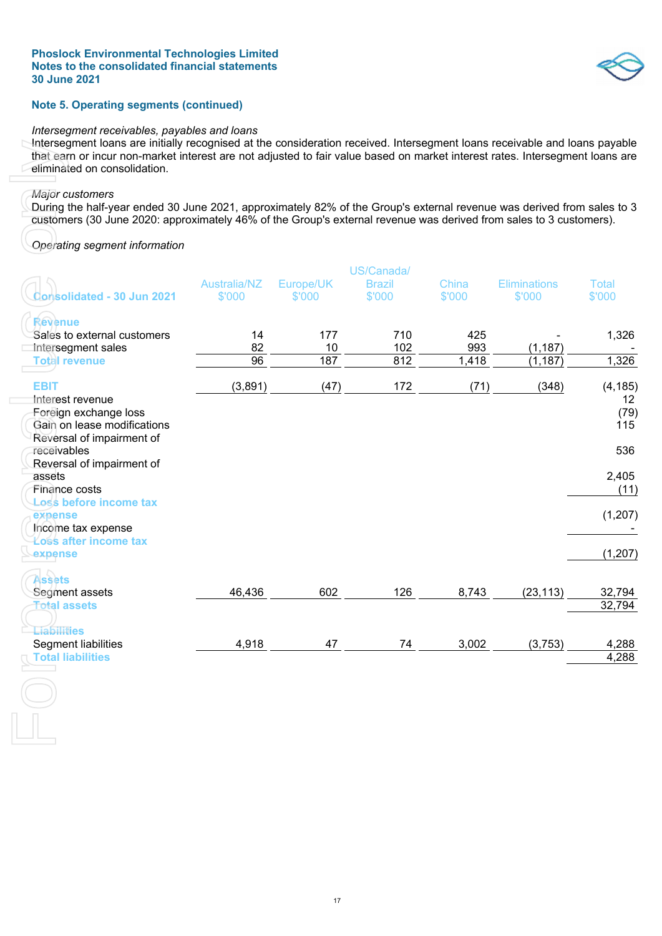#### **Note 5. Operating segments (continued)**

#### *Intersegment receivables, payables and loans*

Intersegment loans are initially recognised at the consideration received. Intersegment loans receivable and loans payable that earn or incur non-market interest are not adjusted to fair value based on market interest rates. Intersegment loans are eliminated on consolidation.

#### *Major customers*

#### *Operating segment information*

| Operating segment information                                                           |                               |                     |                                       |                 | customers (30 June 2020: approximately 46% of the Group's external revenue was derived from sales to 3 customers). |                                            |
|-----------------------------------------------------------------------------------------|-------------------------------|---------------------|---------------------------------------|-----------------|--------------------------------------------------------------------------------------------------------------------|--------------------------------------------|
| Consolidated - 30 Jun 2021                                                              | <b>Australia/NZ</b><br>\$'000 | Europe/UK<br>\$'000 | US/Canada/<br><b>Brazil</b><br>\$'000 | China<br>\$'000 | <b>Eliminations</b><br>\$'000                                                                                      | <b>Total</b><br>\$'000                     |
| Revenue<br>Sales to external customers<br>Intersegment sales                            | 14<br>82                      | 177<br>10           | 710<br>102                            | 425<br>993      | (1, 187)                                                                                                           | 1,326                                      |
| <b>Total revenue</b>                                                                    | 96                            | 187                 | 812                                   | 1,418           | (1, 187)                                                                                                           | 1,326                                      |
| <b>EBIT</b><br>Interest revenue<br>Foreign exchange loss<br>Gain on lease modifications | (3,891)                       | (47)                | 172                                   | (71)            | (348)                                                                                                              | (4, 185)<br>12 <sup>°</sup><br>(79)<br>115 |
| Reversal of impairment of<br>receivables<br>Reversal of impairment of                   |                               |                     |                                       |                 |                                                                                                                    | 536                                        |
| assets<br>Finance costs                                                                 |                               |                     |                                       |                 |                                                                                                                    | 2,405<br>(11)                              |
| Loss before income tax<br>expense<br>Income tax expense                                 |                               |                     |                                       |                 |                                                                                                                    | (1, 207)                                   |
| Loss after income tax<br>expense                                                        |                               |                     |                                       |                 |                                                                                                                    | (1, 207)                                   |
| <b>Assets</b><br>Segment assets<br><b>Total assets</b>                                  | 46,436                        | 602                 | 126                                   | 8,743           | (23, 113)                                                                                                          | 32,794<br>32,794                           |
| Liabilities<br>Segment liabilities<br><b>Total liabilities</b>                          | 4,918                         | 47                  | 74                                    | 3,002           | (3,753)                                                                                                            | 4,288<br>4,288                             |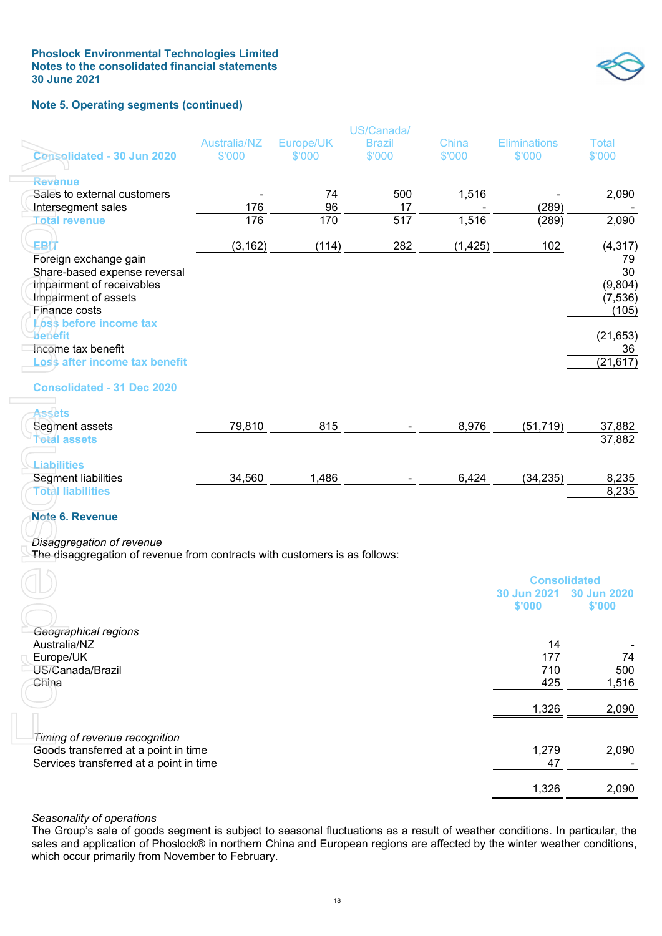

#### **Note 5. Operating segments (continued)**

|                                                                                                                                                                              |                        |                     | US/Canada/              |                 |                               |                        |
|------------------------------------------------------------------------------------------------------------------------------------------------------------------------------|------------------------|---------------------|-------------------------|-----------------|-------------------------------|------------------------|
| Consolidated - 30 Jun 2020                                                                                                                                                   | Australia/NZ<br>\$'000 | Europe/UK<br>\$'000 | <b>Brazil</b><br>\$'000 | China<br>\$'000 | <b>Eliminations</b><br>\$'000 | <b>Total</b><br>\$'000 |
|                                                                                                                                                                              |                        |                     |                         |                 |                               |                        |
| Revenue                                                                                                                                                                      |                        |                     |                         |                 |                               |                        |
| Sales to external customers<br>Intersegment sales                                                                                                                            | 176                    | 74<br>96            | 500<br>17               | 1,516           | (289)                         | 2,090                  |
| <b>Total revenue</b>                                                                                                                                                         | 176                    | 170                 | 517                     | 1,516           | (289)                         | 2,090                  |
|                                                                                                                                                                              |                        |                     |                         |                 |                               |                        |
| EBIT                                                                                                                                                                         | (3, 162)               | (114)               | 282                     | (1, 425)        | 102                           | (4, 317)               |
| Foreign exchange gain                                                                                                                                                        |                        |                     |                         |                 |                               | 79                     |
| Share-based expense reversal                                                                                                                                                 |                        |                     |                         |                 |                               | 30                     |
| Impairment of receivables<br>Impairment of assets                                                                                                                            |                        |                     |                         |                 |                               | (9,804)<br>(7, 536)    |
| Finance costs                                                                                                                                                                |                        |                     |                         |                 |                               | (105)                  |
| Loss before income tax                                                                                                                                                       |                        |                     |                         |                 |                               |                        |
| benefit                                                                                                                                                                      |                        |                     |                         |                 |                               | (21, 653)              |
| Income tax benefit                                                                                                                                                           |                        |                     |                         |                 |                               | 36                     |
| oss after income tax benefit.                                                                                                                                                |                        |                     |                         |                 |                               | (21, 617)              |
| <b>Consolidated - 31 Dec 2020</b>                                                                                                                                            |                        |                     |                         |                 |                               |                        |
|                                                                                                                                                                              |                        |                     |                         |                 |                               |                        |
| Assets<br>Segment assets                                                                                                                                                     | 79,810                 | 815                 |                         | 8,976           | (51, 719)                     | 37,882                 |
| <b>Total assets</b>                                                                                                                                                          |                        |                     |                         |                 |                               | 37,882                 |
|                                                                                                                                                                              |                        |                     |                         |                 |                               |                        |
| <b>Liabilities</b>                                                                                                                                                           |                        |                     |                         |                 |                               |                        |
| <b>Segment liabilities</b><br><b>Total liabilities</b>                                                                                                                       | 34,560                 | 1,486               |                         | 6,424           | (34, 235)                     | 8,235<br>8,235         |
| <b>Note 6. Revenue</b><br>Disaggregation of revenue<br>The disaggregation of revenue from contracts with customers is as follows:                                            |                        |                     |                         |                 |                               |                        |
|                                                                                                                                                                              |                        |                     |                         |                 |                               |                        |
|                                                                                                                                                                              |                        |                     |                         |                 | <b>Consolidated</b>           |                        |
|                                                                                                                                                                              |                        |                     |                         |                 | 30 Jun 2021                   | 30 Jun 2020            |
|                                                                                                                                                                              |                        |                     |                         |                 | \$'000                        | \$'000                 |
| Geographical regions                                                                                                                                                         |                        |                     |                         |                 |                               |                        |
| Australia/NZ                                                                                                                                                                 |                        |                     |                         |                 | 14                            |                        |
| Europe/UK                                                                                                                                                                    |                        |                     |                         |                 | 177                           | 74                     |
| US/Canada/Brazil                                                                                                                                                             |                        |                     |                         |                 | 710                           | 500                    |
| China                                                                                                                                                                        |                        |                     |                         |                 | 425                           | 1,516                  |
|                                                                                                                                                                              |                        |                     |                         |                 | 1,326                         | 2,090                  |
|                                                                                                                                                                              |                        |                     |                         |                 |                               |                        |
| Timing of revenue recognition                                                                                                                                                |                        |                     |                         |                 |                               |                        |
| Goods transferred at a point in time                                                                                                                                         |                        |                     |                         |                 | 1,279                         | 2,090                  |
| Services transferred at a point in time                                                                                                                                      |                        |                     |                         |                 | 47                            |                        |
|                                                                                                                                                                              |                        |                     |                         |                 | 1,326                         | 2,090                  |
|                                                                                                                                                                              |                        |                     |                         |                 |                               |                        |
| Seasonality of operations                                                                                                                                                    |                        |                     |                         |                 |                               |                        |
| The Group's sale of goods segment is subject to seasonal fluctuations as a result of weather conditions. In particular, the                                                  |                        |                     |                         |                 |                               |                        |
| sales and application of Phoslock® in northern China and European regions are affected by the winter weather conditions,<br>which occur primarily from November to February. |                        |                     |                         |                 |                               |                        |

# *Seasonality of operations*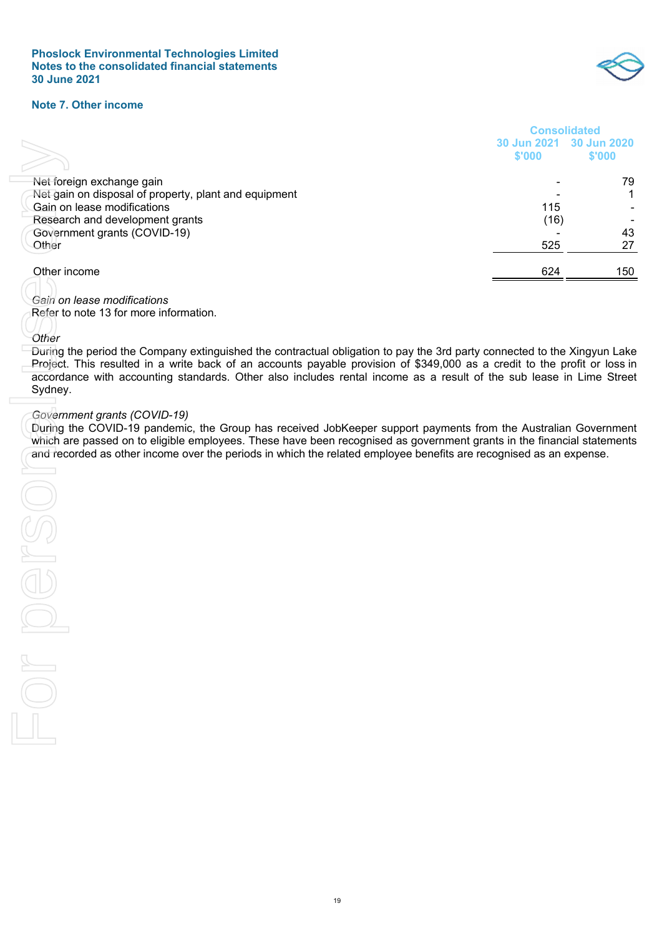

#### **Note 7. Other income**

|                                                                                                                           | <b>Consolidated</b>   |                       |
|---------------------------------------------------------------------------------------------------------------------------|-----------------------|-----------------------|
|                                                                                                                           | 30 Jun 2021<br>\$'000 | 30 Jun 2020<br>\$'000 |
| Net foreign exchange gain                                                                                                 |                       | 79                    |
| Net gain on disposal of property, plant and equipment                                                                     |                       | 1                     |
| Gain on lease modifications                                                                                               | 115                   |                       |
| Research and development grants                                                                                           | (16)                  |                       |
| Government grants (COVID-19)                                                                                              | 525                   | 43                    |
| Other                                                                                                                     |                       | 27                    |
| Other income                                                                                                              | 624                   | 150                   |
|                                                                                                                           |                       |                       |
| Gain on lease modifications                                                                                               |                       |                       |
| Refer to note 13 for more information.                                                                                    |                       |                       |
| Other                                                                                                                     |                       |                       |
| During the period the Company extinguished the contractual obligation to pay the 3rd party connected to the Xingyun Lake  |                       |                       |
| Project. This resulted in a write back of an accounts payable provision of \$349,000 as a credit to the profit or loss in |                       |                       |
| accordance with accounting standards. Other also includes rental income as a result of the sub lease in Lime Street       |                       |                       |
| Sydney.                                                                                                                   |                       |                       |
| Government grants (COVID-19)                                                                                              |                       |                       |
| During the COVID-19 pandemic, the Group has received JobKeeper support payments from the Australian Government            |                       |                       |
| which are passed on to eligible employees. These have been recognised as government grants in the financial statements    |                       |                       |
| and recorded as other income over the periods in which the related employee benefits are recognised as an expense.        |                       |                       |
|                                                                                                                           |                       |                       |
|                                                                                                                           |                       |                       |
|                                                                                                                           |                       |                       |
|                                                                                                                           |                       |                       |
|                                                                                                                           |                       |                       |
|                                                                                                                           |                       |                       |
|                                                                                                                           |                       |                       |
|                                                                                                                           |                       |                       |
|                                                                                                                           |                       |                       |
|                                                                                                                           |                       |                       |
|                                                                                                                           |                       |                       |
|                                                                                                                           |                       |                       |
|                                                                                                                           |                       |                       |
|                                                                                                                           |                       |                       |
|                                                                                                                           |                       |                       |
|                                                                                                                           |                       |                       |
|                                                                                                                           |                       |                       |

#### *Government grants (COVID-19)*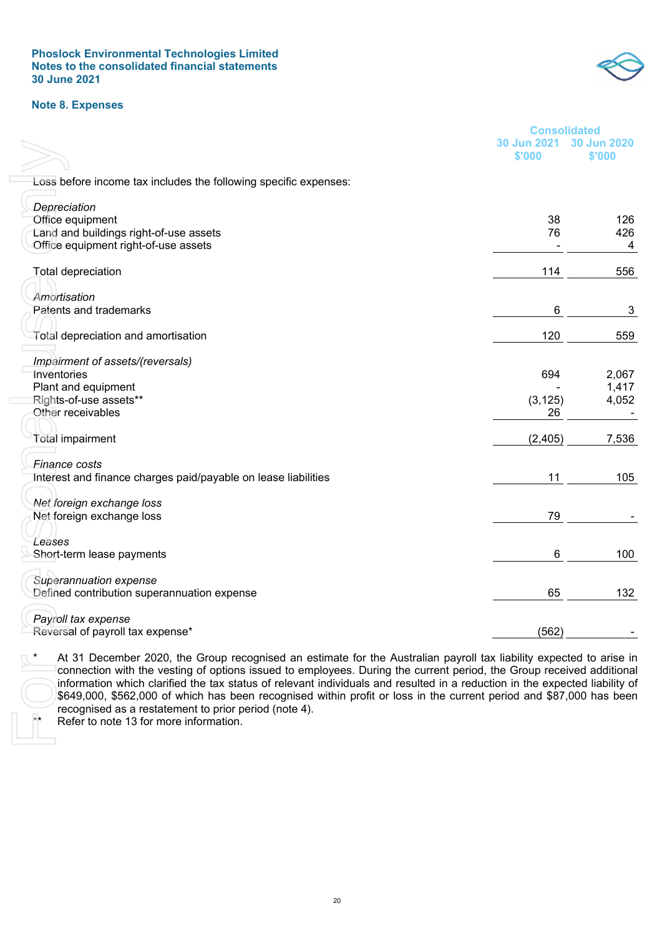**Phoslock Environmental Technologies Limited Notes to the consolidated financial statements 30 June 2021** 

#### **Note 8. Expenses**



|                                                                                                                             | <b>Consolidated</b> |             |
|-----------------------------------------------------------------------------------------------------------------------------|---------------------|-------------|
|                                                                                                                             | 30 Jun 2021         | 30 Jun 2020 |
|                                                                                                                             | \$'000              | \$'000      |
| Loss before income tax includes the following specific expenses:                                                            |                     |             |
|                                                                                                                             |                     |             |
| Depreciation                                                                                                                | 38                  |             |
| Office equipment<br>Land and buildings right-of-use assets                                                                  | 76                  | 126<br>426  |
| Office equipment right-of-use assets                                                                                        |                     | 4           |
|                                                                                                                             |                     |             |
| <b>Total depreciation</b>                                                                                                   | 114                 | 556         |
|                                                                                                                             |                     |             |
| Amortisation                                                                                                                |                     |             |
| Patents and trademarks                                                                                                      | 6                   | 3           |
|                                                                                                                             |                     |             |
| Total depreciation and amortisation                                                                                         | 120                 | 559         |
| Impairment of assets/(reversals)                                                                                            |                     |             |
| Inventories                                                                                                                 | 694                 | 2,067       |
| Plant and equipment                                                                                                         |                     | 1,417       |
| Rights-of-use assets**                                                                                                      | (3, 125)            | 4,052       |
| Other receivables                                                                                                           | 26                  |             |
|                                                                                                                             |                     |             |
| <b>Total impairment</b>                                                                                                     | (2,405)             | 7,536       |
| <b>Finance costs</b>                                                                                                        |                     |             |
| Interest and finance charges paid/payable on lease liabilities                                                              | 11                  | 105         |
|                                                                                                                             |                     |             |
| Net foreign exchange loss                                                                                                   |                     |             |
| Net foreign exchange loss                                                                                                   | 79                  |             |
|                                                                                                                             |                     |             |
| Leases                                                                                                                      |                     |             |
| Short-term lease payments                                                                                                   | 6                   | 100         |
|                                                                                                                             |                     |             |
| Superannuation expense                                                                                                      |                     |             |
| Defined contribution superannuation expense                                                                                 | 65                  | 132         |
| Payroll tax expense                                                                                                         |                     |             |
| Reversal of payroll tax expense*                                                                                            | (562)               |             |
|                                                                                                                             |                     |             |
| At 31 December 2020, the Group recognised an estimate for the Australian payroll tax liability expected to arise in         |                     |             |
| connection with the vesting of options issued to employees. During the current period, the Group received additional        |                     |             |
| information which clarified the tax status of relevant individuals and resulted in a reduction in the expected liability of |                     |             |
| \$649,000, \$562,000 of which has been recognised within profit or loss in the current period and \$87,000 has been         |                     |             |
| recognised as a restatement to prior period (note 4).<br>$**$<br>Refer to note 13 for more information.                     |                     |             |
|                                                                                                                             |                     |             |
|                                                                                                                             |                     |             |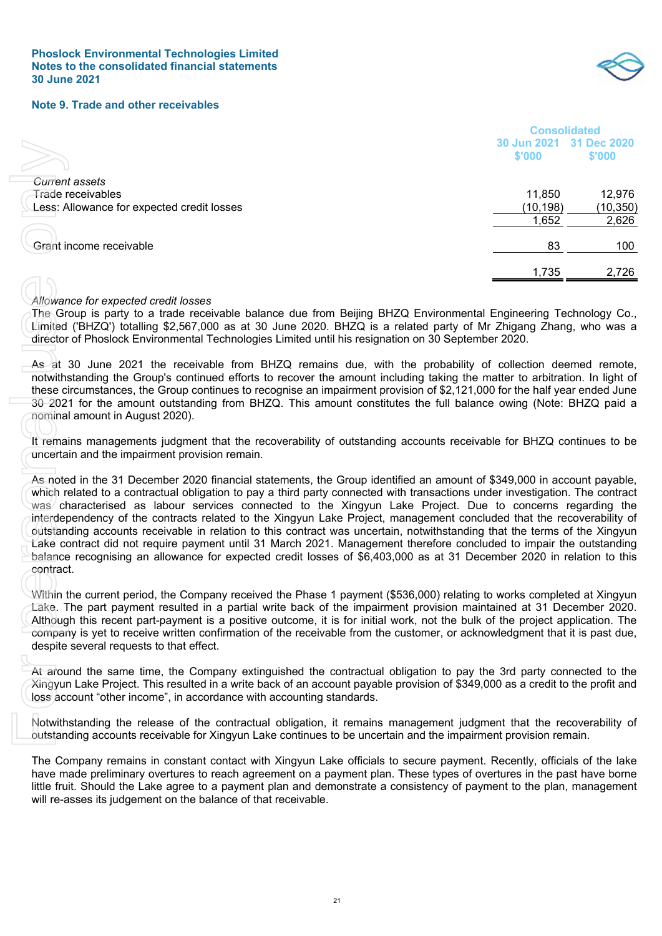

#### **Note 9. Trade and other receivables**

|                                                                                                                                                                                                                                                                                                                                                                                                                                                                                                                                                                                                                                                                                                                                                                                                                                                                                        | <b>Consolidated</b>   |                       |
|----------------------------------------------------------------------------------------------------------------------------------------------------------------------------------------------------------------------------------------------------------------------------------------------------------------------------------------------------------------------------------------------------------------------------------------------------------------------------------------------------------------------------------------------------------------------------------------------------------------------------------------------------------------------------------------------------------------------------------------------------------------------------------------------------------------------------------------------------------------------------------------|-----------------------|-----------------------|
|                                                                                                                                                                                                                                                                                                                                                                                                                                                                                                                                                                                                                                                                                                                                                                                                                                                                                        | 30 Jun 2021<br>\$'000 | 31 Dec 2020<br>\$'000 |
|                                                                                                                                                                                                                                                                                                                                                                                                                                                                                                                                                                                                                                                                                                                                                                                                                                                                                        |                       |                       |
| <b>Current assets</b><br>Trade receivables                                                                                                                                                                                                                                                                                                                                                                                                                                                                                                                                                                                                                                                                                                                                                                                                                                             | 11,850                | 12,976                |
| Less: Allowance for expected credit losses                                                                                                                                                                                                                                                                                                                                                                                                                                                                                                                                                                                                                                                                                                                                                                                                                                             | (10, 198)             | (10, 350)             |
|                                                                                                                                                                                                                                                                                                                                                                                                                                                                                                                                                                                                                                                                                                                                                                                                                                                                                        | 1,652                 | 2,626                 |
|                                                                                                                                                                                                                                                                                                                                                                                                                                                                                                                                                                                                                                                                                                                                                                                                                                                                                        |                       |                       |
| Grant income receivable                                                                                                                                                                                                                                                                                                                                                                                                                                                                                                                                                                                                                                                                                                                                                                                                                                                                | 83                    | 100                   |
|                                                                                                                                                                                                                                                                                                                                                                                                                                                                                                                                                                                                                                                                                                                                                                                                                                                                                        |                       |                       |
|                                                                                                                                                                                                                                                                                                                                                                                                                                                                                                                                                                                                                                                                                                                                                                                                                                                                                        | 1,735                 | 2,726                 |
|                                                                                                                                                                                                                                                                                                                                                                                                                                                                                                                                                                                                                                                                                                                                                                                                                                                                                        |                       |                       |
| Allowance for expected credit losses                                                                                                                                                                                                                                                                                                                                                                                                                                                                                                                                                                                                                                                                                                                                                                                                                                                   |                       |                       |
| The Group is party to a trade receivable balance due from Beijing BHZQ Environmental Engineering Technology Co.,<br>Limited ('BHZQ') totalling \$2,567,000 as at 30 June 2020. BHZQ is a related party of Mr Zhigang Zhang, who was a<br>director of Phoslock Environmental Technologies Limited until his resignation on 30 September 2020.                                                                                                                                                                                                                                                                                                                                                                                                                                                                                                                                           |                       |                       |
| As at 30 June 2021 the receivable from BHZQ remains due, with the probability of collection deemed remote,<br>notwithstanding the Group's continued efforts to recover the amount including taking the matter to arbitration. In light of<br>these circumstances, the Group continues to recognise an impairment provision of \$2,121,000 for the half year ended June<br>30-2021 for the amount outstanding from BHZQ. This amount constitutes the full balance owing (Note: BHZQ paid a<br>nominal amount in August 2020).                                                                                                                                                                                                                                                                                                                                                           |                       |                       |
| It remains managements judgment that the recoverability of outstanding accounts receivable for BHZQ continues to be<br>uncertain and the impairment provision remain.                                                                                                                                                                                                                                                                                                                                                                                                                                                                                                                                                                                                                                                                                                                  |                       |                       |
| As noted in the 31 December 2020 financial statements, the Group identified an amount of \$349,000 in account payable,<br>which related to a contractual obligation to pay a third party connected with transactions under investigation. The contract<br>was characterised as labour services connected to the Xingyun Lake Project. Due to concerns regarding the<br>interdependency of the contracts related to the Xingyun Lake Project, management concluded that the recoverability of<br>outstanding accounts receivable in relation to this contract was uncertain, notwithstanding that the terms of the Xingyun<br>Lake contract did not require payment until 31 March 2021. Management therefore concluded to impair the outstanding<br>balance recognising an allowance for expected credit losses of \$6,403,000 as at 31 December 2020 in relation to this<br>contract. |                       |                       |
| Within the current period, the Company received the Phase 1 payment (\$536,000) relating to works completed at Xingyun<br>Lake. The part payment resulted in a partial write back of the impairment provision maintained at 31 December 2020.<br>Although this recent part-payment is a positive outcome, it is for initial work, not the bulk of the project application. The<br>company is yet to receive written confirmation of the receivable from the customer, or acknowledgment that it is past due,<br>despite several requests to that effect.                                                                                                                                                                                                                                                                                                                               |                       |                       |
| At around the same time, the Company extinguished the contractual obligation to pay the 3rd party connected to the<br>Xingyun Lake Project. This resulted in a write back of an account payable provision of \$349,000 as a credit to the profit and<br>loss account "other income", in accordance with accounting standards.                                                                                                                                                                                                                                                                                                                                                                                                                                                                                                                                                          |                       |                       |
| Notwithstanding the release of the contractual obligation, it remains management judgment that the recoverability of<br>outstanding accounts receivable for Xingyun Lake continues to be uncertain and the impairment provision remain.                                                                                                                                                                                                                                                                                                                                                                                                                                                                                                                                                                                                                                                |                       |                       |
| The Company remains in constant contact with Xingyun Lake officials to secure payment. Recently, officials of the lake<br>have made preliminary overtures to reach agreement on a payment plan. These types of overtures in the past have borne<br>little fruit. Should the Lake agree to a payment plan and demonstrate a consistency of payment to the plan, management<br>will re-asses its judgement on the balance of that receivable.                                                                                                                                                                                                                                                                                                                                                                                                                                            |                       |                       |

#### *Allowance for expected credit losses*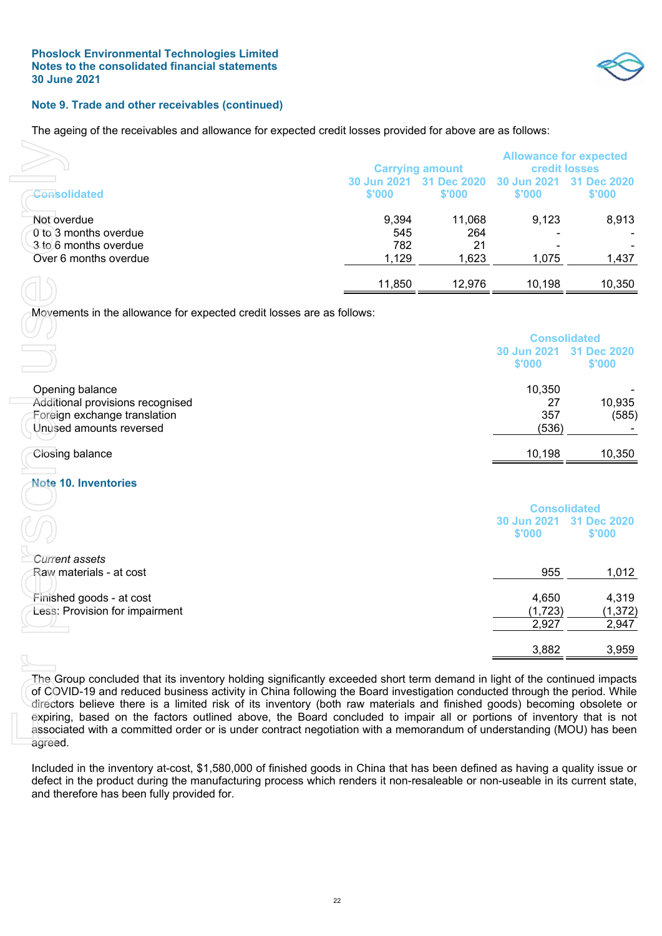

#### **Note 9. Trade and other receivables (continued)**

The ageing of the receivables and allowance for expected credit losses provided for above are as follows:

|                                                                                        |                              | <b>Carrying amount</b>       |                       | <b>Allowance for expected</b><br><b>credit losses</b> |
|----------------------------------------------------------------------------------------|------------------------------|------------------------------|-----------------------|-------------------------------------------------------|
| Consolidated                                                                           | 30 Jun 2021<br>\$'000        | 31 Dec 2020<br>\$'000        | 30 Jun 2021<br>\$'000 | <b>Dec 2020</b><br>\$'000                             |
| Not overdue<br>0 to 3 months overdue<br>3 to 6 months overdue<br>Over 6 months overdue | 9,394<br>545<br>782<br>1,129 | 11,068<br>264<br>21<br>1,623 | 9,123<br>-<br>1,075   | 8,913<br>1,437                                        |
|                                                                                        | 11,850                       | 12,976                       | 10,198                | 10,350                                                |

| <b>Consolidated</b>                                                                                                                                                                                                                                                                                                                                                                                                                                                                                                                                                                                                                          | 30 Jun 2021<br>\$'000 | <b>Carrying amount</b><br>31 Dec 2020<br>\$'000 | <b>credit losses</b><br>30 Jun 2021<br>\$'000 | <b>Allowance for expected</b><br>31 Dec 2020<br>\$'000 |
|----------------------------------------------------------------------------------------------------------------------------------------------------------------------------------------------------------------------------------------------------------------------------------------------------------------------------------------------------------------------------------------------------------------------------------------------------------------------------------------------------------------------------------------------------------------------------------------------------------------------------------------------|-----------------------|-------------------------------------------------|-----------------------------------------------|--------------------------------------------------------|
| Not overdue<br>0 to 3 months overdue                                                                                                                                                                                                                                                                                                                                                                                                                                                                                                                                                                                                         | 9,394<br>545          | 11,068<br>264                                   | 9,123                                         | 8,913                                                  |
| 3 to 6 months overdue                                                                                                                                                                                                                                                                                                                                                                                                                                                                                                                                                                                                                        | 782                   | 21                                              |                                               |                                                        |
|                                                                                                                                                                                                                                                                                                                                                                                                                                                                                                                                                                                                                                              |                       |                                                 |                                               |                                                        |
| Over 6 months overdue                                                                                                                                                                                                                                                                                                                                                                                                                                                                                                                                                                                                                        | 1,129                 | 1,623                                           | 1,075                                         | 1,437                                                  |
|                                                                                                                                                                                                                                                                                                                                                                                                                                                                                                                                                                                                                                              | 11,850                | 12,976                                          | 10,198                                        | 10,350                                                 |
| Movements in the allowance for expected credit losses are as follows:                                                                                                                                                                                                                                                                                                                                                                                                                                                                                                                                                                        |                       |                                                 |                                               |                                                        |
|                                                                                                                                                                                                                                                                                                                                                                                                                                                                                                                                                                                                                                              |                       |                                                 | <b>Consolidated</b>                           |                                                        |
|                                                                                                                                                                                                                                                                                                                                                                                                                                                                                                                                                                                                                                              |                       |                                                 | 30 Jun 2021                                   | 31 Dec 2020                                            |
|                                                                                                                                                                                                                                                                                                                                                                                                                                                                                                                                                                                                                                              |                       |                                                 | \$'000                                        | \$'000                                                 |
|                                                                                                                                                                                                                                                                                                                                                                                                                                                                                                                                                                                                                                              |                       |                                                 |                                               |                                                        |
| Opening balance                                                                                                                                                                                                                                                                                                                                                                                                                                                                                                                                                                                                                              |                       |                                                 | 10,350                                        |                                                        |
| Additional provisions recognised                                                                                                                                                                                                                                                                                                                                                                                                                                                                                                                                                                                                             |                       |                                                 | 27                                            | 10,935                                                 |
| Foreign exchange translation                                                                                                                                                                                                                                                                                                                                                                                                                                                                                                                                                                                                                 |                       |                                                 | 357                                           | (585)                                                  |
| Unused amounts reversed                                                                                                                                                                                                                                                                                                                                                                                                                                                                                                                                                                                                                      |                       |                                                 | (536)                                         |                                                        |
|                                                                                                                                                                                                                                                                                                                                                                                                                                                                                                                                                                                                                                              |                       |                                                 |                                               |                                                        |
| Closing balance                                                                                                                                                                                                                                                                                                                                                                                                                                                                                                                                                                                                                              |                       |                                                 | 10,198                                        | 10,350                                                 |
| <b>Note 10. Inventories</b>                                                                                                                                                                                                                                                                                                                                                                                                                                                                                                                                                                                                                  |                       |                                                 |                                               |                                                        |
|                                                                                                                                                                                                                                                                                                                                                                                                                                                                                                                                                                                                                                              |                       |                                                 |                                               |                                                        |
|                                                                                                                                                                                                                                                                                                                                                                                                                                                                                                                                                                                                                                              |                       |                                                 | <b>Consolidated</b>                           |                                                        |
|                                                                                                                                                                                                                                                                                                                                                                                                                                                                                                                                                                                                                                              |                       |                                                 | 30 Jun 2021                                   | 31 Dec 2020                                            |
|                                                                                                                                                                                                                                                                                                                                                                                                                                                                                                                                                                                                                                              |                       |                                                 | \$'000                                        | \$'000                                                 |
|                                                                                                                                                                                                                                                                                                                                                                                                                                                                                                                                                                                                                                              |                       |                                                 |                                               |                                                        |
| Current assets                                                                                                                                                                                                                                                                                                                                                                                                                                                                                                                                                                                                                               |                       |                                                 |                                               |                                                        |
| Raw materials - at cost                                                                                                                                                                                                                                                                                                                                                                                                                                                                                                                                                                                                                      |                       |                                                 | 955                                           | 1,012                                                  |
|                                                                                                                                                                                                                                                                                                                                                                                                                                                                                                                                                                                                                                              |                       |                                                 |                                               |                                                        |
| Finished goods - at cost                                                                                                                                                                                                                                                                                                                                                                                                                                                                                                                                                                                                                     |                       |                                                 | 4,650                                         | 4,319                                                  |
| Less: Provision for impairment                                                                                                                                                                                                                                                                                                                                                                                                                                                                                                                                                                                                               |                       |                                                 | (1,723)                                       | (1, 372)                                               |
|                                                                                                                                                                                                                                                                                                                                                                                                                                                                                                                                                                                                                                              |                       |                                                 | 2,927                                         | 2,947                                                  |
|                                                                                                                                                                                                                                                                                                                                                                                                                                                                                                                                                                                                                                              |                       |                                                 |                                               |                                                        |
|                                                                                                                                                                                                                                                                                                                                                                                                                                                                                                                                                                                                                                              |                       |                                                 | 3,882                                         | 3,959                                                  |
|                                                                                                                                                                                                                                                                                                                                                                                                                                                                                                                                                                                                                                              |                       |                                                 |                                               |                                                        |
| The Group concluded that its inventory holding significantly exceeded short term demand in light of the continued impacts<br>of COVID-19 and reduced business activity in China following the Board investigation conducted through the period. While<br>directors believe there is a limited risk of its inventory (both raw materials and finished goods) becoming obsolete or<br>expiring, based on the factors outlined above, the Board concluded to impair all or portions of inventory that is not<br>associated with a committed order or is under contract negotiation with a memorandum of understanding (MOU) has been<br>agreed. |                       |                                                 |                                               |                                                        |
| Included in the inventory at-cost, \$1,580,000 of finished goods in China that has been defined as having a quality issue or<br>defect in the product during the manufacturing process which renders it non-resaleable or non-useable in its current state,<br>and therefore has been fully provided for.                                                                                                                                                                                                                                                                                                                                    |                       |                                                 |                                               |                                                        |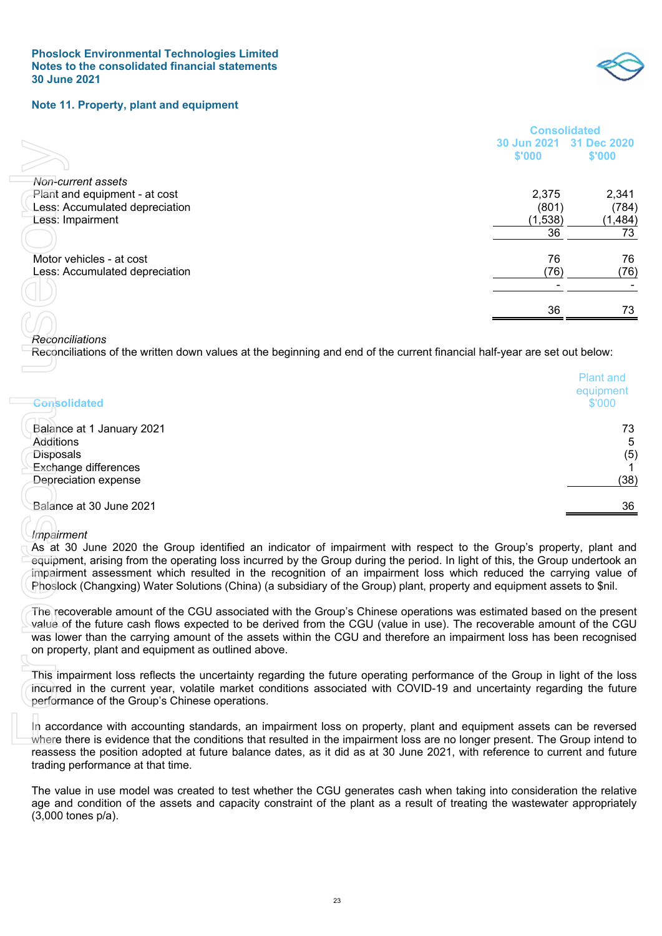

#### **Note 11. Property, plant and equipment**

|                                                                                                                                                                                                                                             | <b>Consolidated</b> |                  |
|---------------------------------------------------------------------------------------------------------------------------------------------------------------------------------------------------------------------------------------------|---------------------|------------------|
|                                                                                                                                                                                                                                             | 30 Jun 2021         | 31 Dec 2020      |
|                                                                                                                                                                                                                                             | \$'000              | \$'000           |
|                                                                                                                                                                                                                                             |                     |                  |
| Non-current assets                                                                                                                                                                                                                          |                     |                  |
| Plant and equipment - at cost                                                                                                                                                                                                               | 2,375               | 2,341            |
| Less: Accumulated depreciation                                                                                                                                                                                                              | (801)               | (784)            |
| Less: Impairment                                                                                                                                                                                                                            | (1,538)             | (1, 484)         |
|                                                                                                                                                                                                                                             | 36                  | 73               |
|                                                                                                                                                                                                                                             |                     |                  |
| Motor vehicles - at cost                                                                                                                                                                                                                    | 76                  | 76               |
| Less: Accumulated depreciation                                                                                                                                                                                                              | (76)                | (76)             |
|                                                                                                                                                                                                                                             |                     |                  |
|                                                                                                                                                                                                                                             |                     |                  |
|                                                                                                                                                                                                                                             | 36                  | 73               |
|                                                                                                                                                                                                                                             |                     |                  |
| Reconciliations                                                                                                                                                                                                                             |                     |                  |
| Reconciliations of the written down values at the beginning and end of the current financial half-year are set out below:                                                                                                                   |                     |                  |
|                                                                                                                                                                                                                                             |                     |                  |
|                                                                                                                                                                                                                                             |                     | <b>Plant and</b> |
|                                                                                                                                                                                                                                             |                     | equipment        |
| <b>Consolidated</b>                                                                                                                                                                                                                         |                     | \$'000           |
|                                                                                                                                                                                                                                             |                     |                  |
| Balance at 1 January 2021                                                                                                                                                                                                                   |                     | 73               |
| Additions                                                                                                                                                                                                                                   |                     | 5                |
| Disposals                                                                                                                                                                                                                                   |                     | (5)              |
| <b>Exchange differences</b>                                                                                                                                                                                                                 |                     |                  |
| Depreciation expense                                                                                                                                                                                                                        |                     | (38)             |
| Balance at 30 June 2021                                                                                                                                                                                                                     |                     |                  |
|                                                                                                                                                                                                                                             |                     | 36               |
|                                                                                                                                                                                                                                             |                     |                  |
| Impairment                                                                                                                                                                                                                                  |                     |                  |
| As at 30 June 2020 the Group identified an indicator of impairment with respect to the Group's property, plant and                                                                                                                          |                     |                  |
| equipment, arising from the operating loss incurred by the Group during the period. In light of this, the Group undertook an                                                                                                                |                     |                  |
| impairment assessment which resulted in the recognition of an impairment loss which reduced the carrying value of                                                                                                                           |                     |                  |
| Phoslock (Changxing) Water Solutions (China) (a subsidiary of the Group) plant, property and equipment assets to \$nil.                                                                                                                     |                     |                  |
|                                                                                                                                                                                                                                             |                     |                  |
| The recoverable amount of the CGU associated with the Group's Chinese operations was estimated based on the present<br>value of the future cash flows expected to be derived from the CGU (value in use). The recoverable amount of the CGU |                     |                  |
| was lower than the carrying amount of the assets within the CGU and therefore an impairment loss has been recognised                                                                                                                        |                     |                  |
| on property, plant and equipment as outlined above.                                                                                                                                                                                         |                     |                  |
|                                                                                                                                                                                                                                             |                     |                  |
| This impairment loss reflects the uncertainty regarding the future operating performance of the Group in light of the loss                                                                                                                  |                     |                  |
| incurred in the current year, volatile market conditions associated with COVID-19 and uncertainty regarding the future                                                                                                                      |                     |                  |
| performance of the Group's Chinese operations.                                                                                                                                                                                              |                     |                  |
|                                                                                                                                                                                                                                             |                     |                  |
| In accordance with accounting standards, an impairment loss on property, plant and equipment assets can be reversed                                                                                                                         |                     |                  |
| where there is evidence that the conditions that resulted in the impairment loss are no longer present. The Group intend to                                                                                                                 |                     |                  |
| reassess the position adopted at future balance dates, as it did as at 30 June 2021, with reference to current and future                                                                                                                   |                     |                  |
| trading performance at that time.                                                                                                                                                                                                           |                     |                  |
|                                                                                                                                                                                                                                             |                     |                  |
| The value in use model was created to test whether the CGU generates cash when taking into consideration the relative                                                                                                                       |                     |                  |
| age and condition of the assets and capacity constraint of the plant as a result of treating the wastewater appropriately                                                                                                                   |                     |                  |
| $(3,000$ tones $p/a$ ).                                                                                                                                                                                                                     |                     |                  |

| <b>Consolidated</b>                                                                | <b>Plant and</b><br>equipment<br>\$'000 |
|------------------------------------------------------------------------------------|-----------------------------------------|
| Balance at 1 January 2021<br>Additions<br><b>Disposals</b><br>Exchange differences | 73<br>5<br>(5)                          |
| Depreciation expense                                                               | (38)                                    |
| Balance at 30 June 2021                                                            | 36                                      |

#### *Impairment*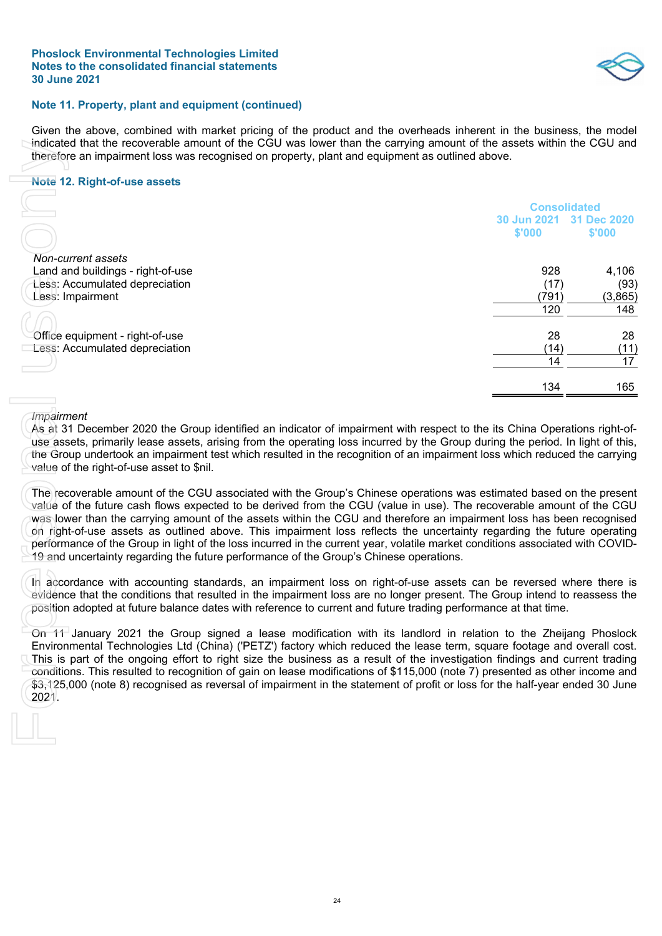

#### **Note 11. Property, plant and equipment (continued)**

Given the above, combined with market pricing of the product and the overheads inherent in the business, the model indicated that the recoverable amount of the CGU was lower than the carrying amount of the assets within the CGU and therefore an impairment loss was recognised on property, plant and equipment as outlined above.

#### **Note 12. Right-of-use assets**

| <b>Note 12. Right-of-use assets</b>                                                                                                                                                                                                                                                                                                                                                                                                                                                           |                       |                       |
|-----------------------------------------------------------------------------------------------------------------------------------------------------------------------------------------------------------------------------------------------------------------------------------------------------------------------------------------------------------------------------------------------------------------------------------------------------------------------------------------------|-----------------------|-----------------------|
|                                                                                                                                                                                                                                                                                                                                                                                                                                                                                               | <b>Consolidated</b>   |                       |
|                                                                                                                                                                                                                                                                                                                                                                                                                                                                                               | 30 Jun 2021<br>\$'000 | 31 Dec 2020<br>\$'000 |
| Non-current assets                                                                                                                                                                                                                                                                                                                                                                                                                                                                            |                       |                       |
| Land and buildings - right-of-use                                                                                                                                                                                                                                                                                                                                                                                                                                                             | 928                   | 4,106                 |
| Less: Accumulated depreciation                                                                                                                                                                                                                                                                                                                                                                                                                                                                | (17)                  | (93)                  |
| Less: Impairment                                                                                                                                                                                                                                                                                                                                                                                                                                                                              | (791)                 | (3,865)               |
|                                                                                                                                                                                                                                                                                                                                                                                                                                                                                               | 120                   | 148                   |
|                                                                                                                                                                                                                                                                                                                                                                                                                                                                                               |                       |                       |
| Office equipment - right-of-use                                                                                                                                                                                                                                                                                                                                                                                                                                                               | 28                    | 28                    |
| Less: Accumulated depreciation                                                                                                                                                                                                                                                                                                                                                                                                                                                                | (14)                  | (11)                  |
|                                                                                                                                                                                                                                                                                                                                                                                                                                                                                               | 14                    | 17                    |
|                                                                                                                                                                                                                                                                                                                                                                                                                                                                                               | 134                   |                       |
|                                                                                                                                                                                                                                                                                                                                                                                                                                                                                               |                       | 165                   |
| Impairment<br>As at 31 December 2020 the Group identified an indicator of impairment with respect to the its China Operations right-of-<br>use assets, primarily lease assets, arising from the operating loss incurred by the Group during the period. In light of this,<br>the Group undertook an impairment test which resulted in the recognition of an impairment loss which reduced the carrying<br>value of the right-of-use asset to \$nil.                                           |                       |                       |
| The recoverable amount of the CGU associated with the Group's Chinese operations was estimated based on the present<br>value of the future cash flows expected to be derived from the CGU (value in use). The recoverable amount of the CGU<br>was lower than the carrying amount of the assets within the CGU and therefore an impairment loss has been recognised<br>on right-of-use assets as outlined above. This impairment loss reflects the uncertainty regarding the future operating |                       |                       |
| performance of the Group in light of the loss incurred in the current year, volatile market conditions associated with COVID-<br>19 and uncertainty regarding the future performance of the Group's Chinese operations.                                                                                                                                                                                                                                                                       |                       |                       |
| In accordance with accounting standards, an impairment loss on right-of-use assets can be reversed where there is<br>evidence that the conditions that resulted in the impairment loss are no longer present. The Group intend to reassess the<br>position adopted at future balance dates with reference to current and future trading performance at that time.                                                                                                                             |                       |                       |

#### *Impairment*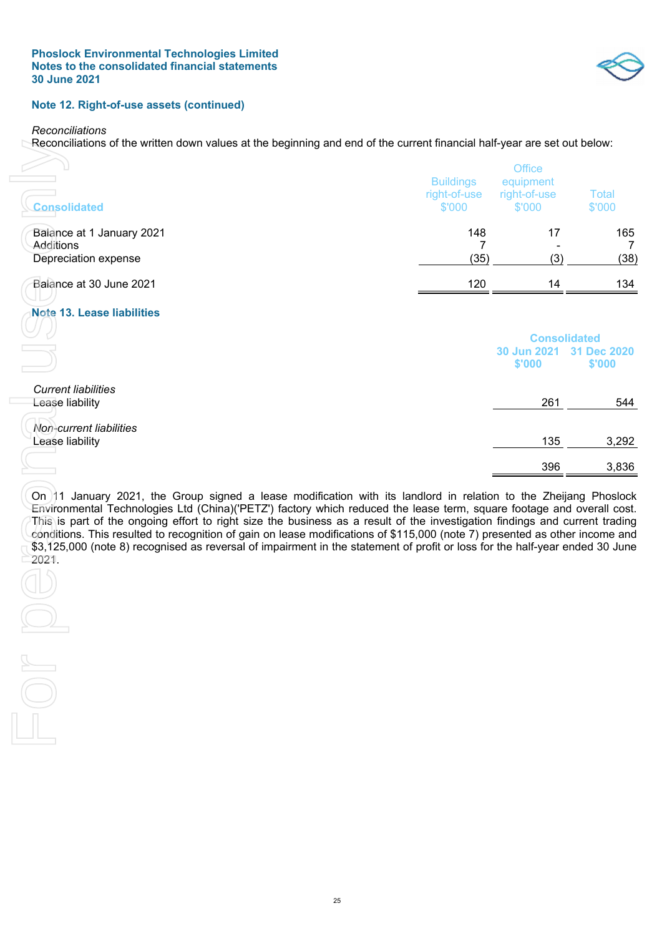

#### **Note 12. Right-of-use assets (continued)**

*Reconciliations* 

For pe

Reconciliations of the written down values at the beginning and end of the current financial half-year are set out below:

| <b>Consolidated</b>                                                                                                                                                                                                                                                                                                                                                                                                                                                                                                                                                                                                                              | <b>Buildings</b><br>right-of-use<br>\$'000 | Office<br>equipment<br>right-of-use<br>\$'000 | <b>Total</b><br>\$'000 |
|--------------------------------------------------------------------------------------------------------------------------------------------------------------------------------------------------------------------------------------------------------------------------------------------------------------------------------------------------------------------------------------------------------------------------------------------------------------------------------------------------------------------------------------------------------------------------------------------------------------------------------------------------|--------------------------------------------|-----------------------------------------------|------------------------|
| Balance at 1 January 2021<br>Additions                                                                                                                                                                                                                                                                                                                                                                                                                                                                                                                                                                                                           | 148<br>7                                   | 17                                            | 165<br>7               |
| Depreciation expense                                                                                                                                                                                                                                                                                                                                                                                                                                                                                                                                                                                                                             | (35)                                       | (3)                                           | (38)                   |
| Balance at 30 June 2021                                                                                                                                                                                                                                                                                                                                                                                                                                                                                                                                                                                                                          | 120                                        | 14                                            | 134                    |
| <b>Note 13. Lease liabilities</b>                                                                                                                                                                                                                                                                                                                                                                                                                                                                                                                                                                                                                |                                            |                                               |                        |
|                                                                                                                                                                                                                                                                                                                                                                                                                                                                                                                                                                                                                                                  |                                            | <b>Consolidated</b><br>30 Jun 2021<br>\$'000  | 31 Dec 2020<br>\$'000  |
| <b>Current liabilities</b><br>Lease liability                                                                                                                                                                                                                                                                                                                                                                                                                                                                                                                                                                                                    |                                            | 261                                           | 544                    |
| Non-current liabilities<br>Lease liability                                                                                                                                                                                                                                                                                                                                                                                                                                                                                                                                                                                                       |                                            | 135                                           | 3,292                  |
|                                                                                                                                                                                                                                                                                                                                                                                                                                                                                                                                                                                                                                                  |                                            | 396                                           | 3,836                  |
| On 11 January 2021, the Group signed a lease modification with its landlord in relation to the Zheijang Phoslock<br>Environmental Technologies Ltd (China)('PETZ') factory which reduced the lease term, square footage and overall cost.<br>This is part of the ongoing effort to right size the business as a result of the investigation findings and current trading<br>conditions. This resulted to recognition of gain on lease modifications of \$115,000 (note 7) presented as other income and<br>\$3,125,000 (note 8) recognised as reversal of impairment in the statement of profit or loss for the half-year ended 30 June<br>2021. |                                            |                                               |                        |
|                                                                                                                                                                                                                                                                                                                                                                                                                                                                                                                                                                                                                                                  |                                            |                                               |                        |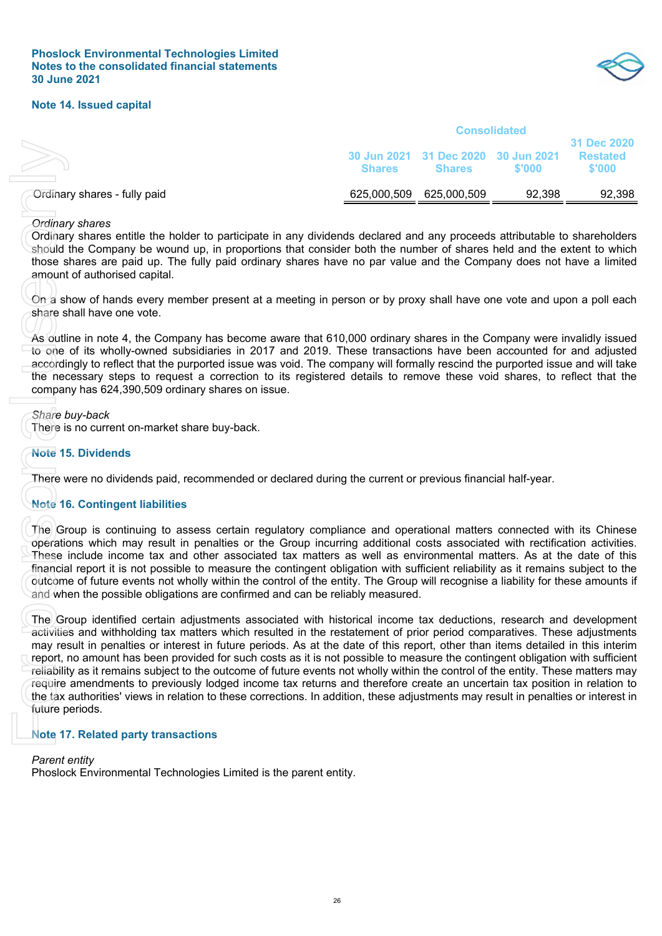

#### **Note 14. Issued capital**

| <b>Shares</b> | <b>Shares</b> | \$'000      | 31 Dec 2020<br><b>Restated</b><br>\$'000                   |
|---------------|---------------|-------------|------------------------------------------------------------|
|               | 625,000,509   | 92.398      | 92,398                                                     |
|               |               | 625,000,509 | <b>Consolidated</b><br>30 Jun 2021 31 Dec 2020 30 Jun 2021 |

#### *Ordinary shares*

Ordinary shares entitle the holder to participate in any dividends declared and any proceeds attributable to shareholders should the Company be wound up, in proportions that consider both the number of shares held and the extent to which those shares are paid up. The fully paid ordinary shares have no par value and the Company does not have a limited amount of authorised capital.

On a show of hands every member present at a meeting in person or by proxy shall have one vote and upon a poll each share shall have one vote.

As outline in note 4, the Company has become aware that 610,000 ordinary shares in the Company were invalidly issued to one of its wholly-owned subsidiaries in 2017 and 2019. These transactions have been accounted for and adjusted accordingly to reflect that the purported issue was void. The company will formally rescind the purported issue and will take the necessary steps to request a correction to its registered details to remove these void shares, to reflect that the company has 624,390,509 ordinary shares on issue.

*Share buy-back* 

There is no current on-market share buy-back.

#### **Note 15. Dividends**

There were no dividends paid, recommended or declared during the current or previous financial half-year.

#### **Note 16. Contingent liabilities**

The Group is continuing to assess certain regulatory compliance and operational matters connected with its Chinese operations which may result in penalties or the Group incurring additional costs associated with rectification activities. These include income tax and other associated tax matters as well as environmental matters. As at the date of this financial report it is not possible to measure the contingent obligation with sufficient reliability as it remains subject to the outcome of future events not wholly within the control of the entity. The Group will recognise a liability for these amounts if and when the possible obligations are confirmed and can be reliably measured.

The Group identified certain adjustments associated with historical income tax deductions, research and development activities and withholding tax matters which resulted in the restatement of prior period comparatives. These adjustments may result in penalties or interest in future periods. As at the date of this report, other than items detailed in this interim report, no amount has been provided for such costs as it is not possible to measure the contingent obligation with sufficient reliability as it remains subject to the outcome of future events not wholly within the control of the entity. These matters may require amendments to previously lodged income tax returns and therefore create an uncertain tax position in relation to the tax authorities' views in relation to these corrections. In addition, these adjustments may result in penalties or interest in future periods. Grünary shares - fully paid<br>
Dordinary shares entitle the holder to participate in any dividends<br>
should the Company be wound up, in proportions that consider<br>
shows shares are paid up. The fully paid ordinary shares hav

#### **Note 17. Related party transactions**

*Parent entity*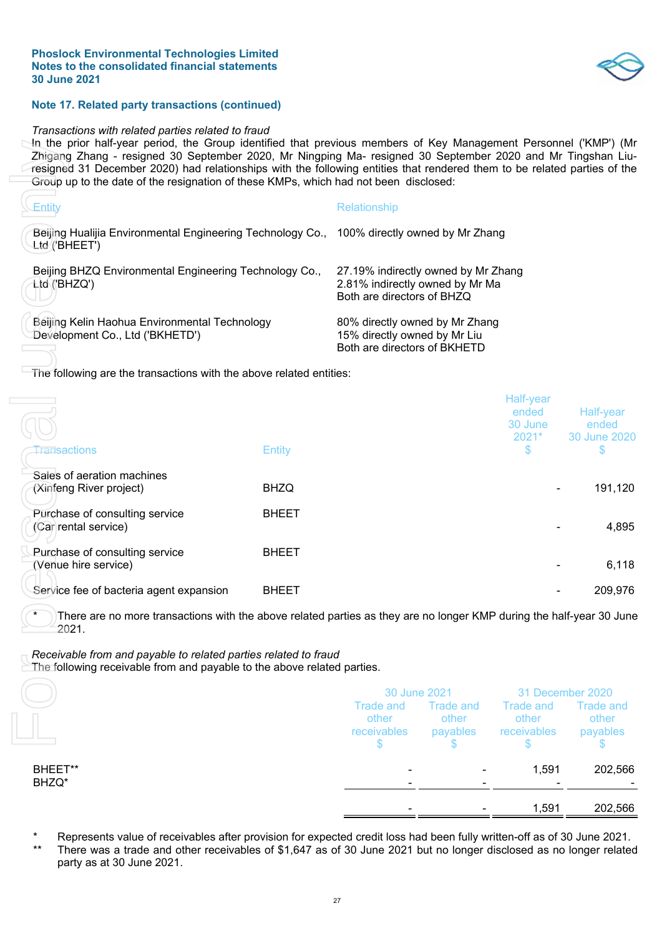

#### **Note 17. Related party transactions (continued)**

#### *Transactions with related parties related to fraud*

In the prior half-year period, the Group identified that previous members of Key Management Personnel ('KMP') (Mr Zhigang Zhang - resigned 30 September 2020, Mr Ningping Ma- resigned 30 September 2020 and Mr Tingshan Liuresigned 31 December 2020) had relationships with the following entities that rendered them to be related parties of the Group up to the date of the resignation of these KMPs, which had not been disclosed:

| ∖Entitv                                                                                                     | Relationship                                                                                         |
|-------------------------------------------------------------------------------------------------------------|------------------------------------------------------------------------------------------------------|
| Beijing Hualijia Environmental Engineering Technology Co., 100% directly owned by Mr Zhang<br>Ltd'/'BHEET') |                                                                                                      |
| Beijing BHZQ Environmental Engineering Technology Co.,<br>ttd ('BHZQ')                                      | 27.19% indirectly owned by Mr Zhang<br>2.81% indirectly owned by Mr Ma<br>Both are directors of BHZQ |
| Beijing Kelin Haohua Environmental Technology<br>Development Co., Ltd ('BKHETD')                            | 80% directly owned by Mr Zhang<br>15% directly owned by Mr Liu<br>Both are directors of BKHETD       |

|                                                                                                                                            |               |                                                                                                      |                                       | 1,591                                    | 202,566                                                                                                                  |
|--------------------------------------------------------------------------------------------------------------------------------------------|---------------|------------------------------------------------------------------------------------------------------|---------------------------------------|------------------------------------------|--------------------------------------------------------------------------------------------------------------------------|
| BHEET**<br>BHZQ*                                                                                                                           |               |                                                                                                      |                                       | 1,591                                    | 202,566                                                                                                                  |
|                                                                                                                                            |               | \$                                                                                                   | \$                                    | \$                                       | \$                                                                                                                       |
|                                                                                                                                            |               | <b>Trade and</b><br>other<br>receivables                                                             | <b>Trade and</b><br>other<br>payables | <b>Trade and</b><br>other<br>receivables | <b>Trade and</b><br>other<br>payables                                                                                    |
|                                                                                                                                            |               | 30 June 2021                                                                                         |                                       |                                          | 31 December 2020                                                                                                         |
| Receivable from and payable to related parties related to fraud<br>The following receivable from and payable to the above related parties. |               |                                                                                                      |                                       |                                          |                                                                                                                          |
| There are no more transactions with the above related parties as they are no longer KMP during the half-year 30 June<br>2021.              |               |                                                                                                      |                                       |                                          |                                                                                                                          |
| Service fee of bacteria agent expansion                                                                                                    | <b>BHEET</b>  |                                                                                                      |                                       |                                          | 209,976                                                                                                                  |
| Purchase of consulting service<br>(Venue hire service)                                                                                     | <b>BHEET</b>  |                                                                                                      |                                       |                                          | 6,118                                                                                                                    |
| Purchase of consulting service<br>(Car rental service)                                                                                     | <b>BHEET</b>  |                                                                                                      |                                       |                                          | 4,895                                                                                                                    |
| Sales of aeration machines<br>(Xinfeng River project)                                                                                      | <b>BHZQ</b>   |                                                                                                      |                                       |                                          | 191,120                                                                                                                  |
| <b>Tansactions</b>                                                                                                                         | <b>Entity</b> |                                                                                                      |                                       | $2021*$<br>\$                            | 30 June 2020<br>\$                                                                                                       |
|                                                                                                                                            |               |                                                                                                      |                                       | Half-year<br>ended<br>30 June            | Half-year<br>ended                                                                                                       |
| The following are the transactions with the above related entities:                                                                        |               |                                                                                                      |                                       |                                          |                                                                                                                          |
| Beijing Kelin Haohua Environmental Technology<br>Development Co., Ltd ('BKHETD')                                                           |               | 80% directly owned by Mr Zhang<br>15% directly owned by Mr Liu<br>Both are directors of BKHETD       |                                       |                                          |                                                                                                                          |
| Beijing BHZQ Environmental Engineering Technology Co.,<br>Ltd ('BHZQ')                                                                     |               | 27.19% indirectly owned by Mr Zhang<br>2.81% indirectly owned by Mr Ma<br>Both are directors of BHZQ |                                       |                                          |                                                                                                                          |
| Beijing Hualijia Environmental Engineering Technology Co., 100% directly owned by Mr Zhang<br>Ltd'/'BHEET')                                |               |                                                                                                      |                                       |                                          |                                                                                                                          |
| Entity                                                                                                                                     |               | Relationship                                                                                         |                                       |                                          |                                                                                                                          |
| Group up to the date of the resignation of these KMPs, which had not been disclosed:                                                       |               |                                                                                                      |                                       |                                          | resigned 31 December 2020) had relationships with the following entities that rendered them to be related parties of the |

|                  | 30 June 2021                      |                                | 31 December 2020                  |                                |
|------------------|-----------------------------------|--------------------------------|-----------------------------------|--------------------------------|
|                  | Trade and<br>other<br>receivables | Trade and<br>other<br>payables | Trade and<br>other<br>receivables | Trade and<br>other<br>payables |
| BHEET**<br>BHZQ* |                                   |                                | 1,591                             | 202,566                        |
|                  |                                   |                                |                                   |                                |
|                  |                                   |                                | 1,591                             | 202,566                        |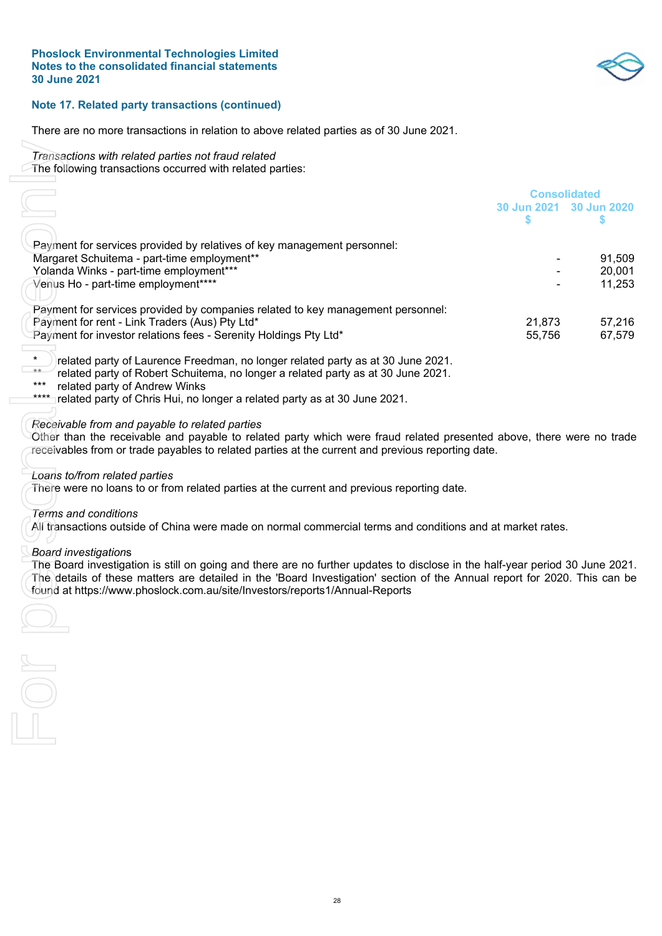

#### **Note 17. Related party transactions (continued)**

There are no more transactions in relation to above related parties as of 30 June 2021.

- *Transactions with related parties not fraud related*
- The following transactions occurred with related parties:

| The following transactions occurred with related parties:                                                                                                                                                |                                                |                  |
|----------------------------------------------------------------------------------------------------------------------------------------------------------------------------------------------------------|------------------------------------------------|------------------|
|                                                                                                                                                                                                          | <b>Consolidated</b><br>30 Jun 2021 30 Jun 2020 |                  |
|                                                                                                                                                                                                          | S                                              | S                |
|                                                                                                                                                                                                          |                                                |                  |
| Payment for services provided by relatives of key management personnel:                                                                                                                                  |                                                |                  |
| Margaret Schuitema - part-time employment**                                                                                                                                                              |                                                | 91,509           |
| Yolanda Winks - part-time employment***<br>Venus Ho - part-time employment****                                                                                                                           |                                                | 20,001<br>11,253 |
|                                                                                                                                                                                                          |                                                |                  |
| Payment for services provided by companies related to key management personnel:                                                                                                                          |                                                |                  |
| Payment for rent - Link Traders (Aus) Pty Ltd*                                                                                                                                                           | 21,873                                         | 57,216           |
| Payment for investor relations fees - Serenity Holdings Pty Ltd*                                                                                                                                         | 55,756                                         | 67,579           |
|                                                                                                                                                                                                          |                                                |                  |
| $\star$<br>related party of Laurence Freedman, no longer related party as at 30 June 2021.<br>$**$                                                                                                       |                                                |                  |
| related party of Robert Schuitema, no longer a related party as at 30 June 2021.<br>related party of Andrew Winks<br>***                                                                                 |                                                |                  |
| related party of Chris Hui, no longer a related party as at 30 June 2021.<br>****                                                                                                                        |                                                |                  |
|                                                                                                                                                                                                          |                                                |                  |
| Receivable from and payable to related parties                                                                                                                                                           |                                                |                  |
| Other than the receivable and payable to related party which were fraud related presented above, there were no trade                                                                                     |                                                |                  |
| receivables from or trade payables to related parties at the current and previous reporting date.                                                                                                        |                                                |                  |
|                                                                                                                                                                                                          |                                                |                  |
| Loans to/from related parties<br>There were no loans to or from related parties at the current and previous reporting date.                                                                              |                                                |                  |
|                                                                                                                                                                                                          |                                                |                  |
| Terms and conditions                                                                                                                                                                                     |                                                |                  |
| All transactions outside of China were made on normal commercial terms and conditions and at market rates.                                                                                               |                                                |                  |
|                                                                                                                                                                                                          |                                                |                  |
| <b>Board investigations</b>                                                                                                                                                                              |                                                |                  |
| The Board investigation is still on going and there are no further updates to disclose in the half-year period 30 June 2021.                                                                             |                                                |                  |
| The details of these matters are detailed in the 'Board Investigation' section of the Annual report for 2020. This can be<br>found at https://www.phoslock.com.au/site/Investors/reports1/Annual-Reports |                                                |                  |
|                                                                                                                                                                                                          |                                                |                  |
|                                                                                                                                                                                                          |                                                |                  |
|                                                                                                                                                                                                          |                                                |                  |
|                                                                                                                                                                                                          |                                                |                  |
|                                                                                                                                                                                                          |                                                |                  |
|                                                                                                                                                                                                          |                                                |                  |
|                                                                                                                                                                                                          |                                                |                  |
|                                                                                                                                                                                                          |                                                |                  |
|                                                                                                                                                                                                          |                                                |                  |
|                                                                                                                                                                                                          |                                                |                  |
|                                                                                                                                                                                                          |                                                |                  |

- \*\*\* related party of Andrew Winks
- \*\*\*\* related party of Chris Hui, no longer a related party as at 30 June 2021.

#### *Receivable from and payable to related parties*

#### *Loans to/from related parties*

#### *Terms and conditions*

#### *Board investigation*s

 $28$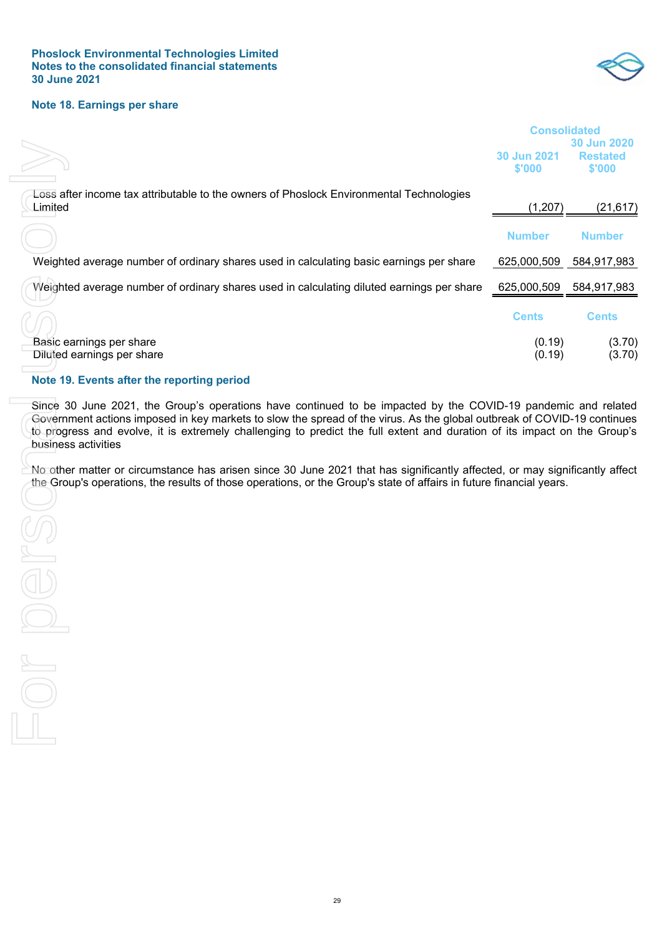

#### **Note 18. Earnings per share**

|                                                                                                                                                                                                                                                                                                                                                                                                                                                                                                                                                                                                                                                  | <b>Consolidated</b>   |                                          |  |
|--------------------------------------------------------------------------------------------------------------------------------------------------------------------------------------------------------------------------------------------------------------------------------------------------------------------------------------------------------------------------------------------------------------------------------------------------------------------------------------------------------------------------------------------------------------------------------------------------------------------------------------------------|-----------------------|------------------------------------------|--|
|                                                                                                                                                                                                                                                                                                                                                                                                                                                                                                                                                                                                                                                  | 30 Jun 2021<br>\$'000 | 30 Jun 2020<br><b>Restated</b><br>\$'000 |  |
| Loss after income tax attributable to the owners of Phoslock Environmental Technologies<br>Limited                                                                                                                                                                                                                                                                                                                                                                                                                                                                                                                                               | (1, 207)              | (21, 617)                                |  |
|                                                                                                                                                                                                                                                                                                                                                                                                                                                                                                                                                                                                                                                  | <b>Number</b>         | <b>Number</b>                            |  |
| Weighted average number of ordinary shares used in calculating basic earnings per share                                                                                                                                                                                                                                                                                                                                                                                                                                                                                                                                                          | 625,000,509           | 584,917,983                              |  |
| Weighted average number of ordinary shares used in calculating diluted earnings per share                                                                                                                                                                                                                                                                                                                                                                                                                                                                                                                                                        | 625,000,509           | 584,917,983                              |  |
|                                                                                                                                                                                                                                                                                                                                                                                                                                                                                                                                                                                                                                                  | <b>Cents</b>          | <b>Cents</b>                             |  |
| Basic earnings per share<br>Diluted earnings per share                                                                                                                                                                                                                                                                                                                                                                                                                                                                                                                                                                                           | (0.19)<br>(0.19)      | (3.70)<br>(3.70)                         |  |
| Note 19. Events after the reporting period                                                                                                                                                                                                                                                                                                                                                                                                                                                                                                                                                                                                       |                       |                                          |  |
| Since 30 June 2021, the Group's operations have continued to be impacted by the COVID-19 pandemic and related<br>Government actions imposed in key markets to slow the spread of the virus. As the global outbreak of COVID-19 continues<br>to progress and evolve, it is extremely challenging to predict the full extent and duration of its impact on the Group's<br>business activities<br>No other matter or circumstance has arisen since 30 June 2021 that has significantly affected, or may significantly affect<br>the Group's operations, the results of those operations, or the Group's state of affairs in future financial years. |                       |                                          |  |
|                                                                                                                                                                                                                                                                                                                                                                                                                                                                                                                                                                                                                                                  |                       |                                          |  |

#### **Note 19. Events after the reporting period**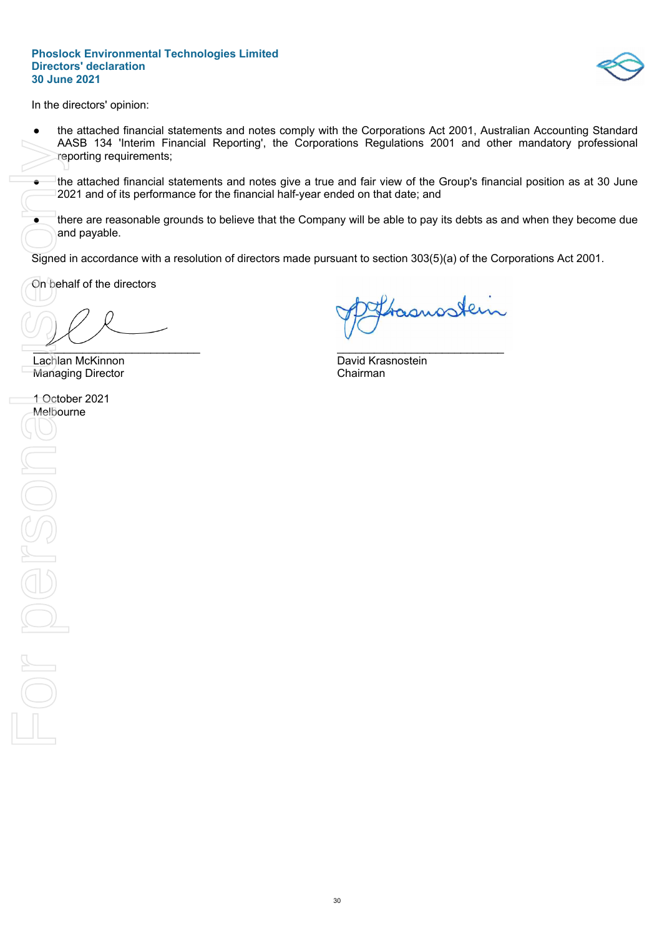

In the directors' opinion:

- the attached financial statements and notes comply with the Corporations Act 2001, Australian Accounting Standard AASB 134 'Interim Financial Reporting', the Corporations Regulations 2001 and other mandatory professional reporting requirements;
- the attached financial statements and notes give a true and fair view of the Group's financial position as at 30 June 2021 and of its performance for the financial half-year ended on that date; and
- there are reasonable grounds to believe that the Company will be able to pay its debts as and when they become due and payable.

Signed in accordance with a resolution of directors made pursuant to section 303(5)(a) of the Corporations Act 2001.

On behalf of the directors

 $\overline{a}$ 

**Lachlan McKinnon** David Krasnostein Managing Director **Chairman** 

MASH<br>
Preport<br>
Inte at 2021<br>
Signed in a<br>
Signed in a<br>
Managing<br>
1 October<br>
Melbourne 1 October 2021 Melbourne Nosuen De

Samostein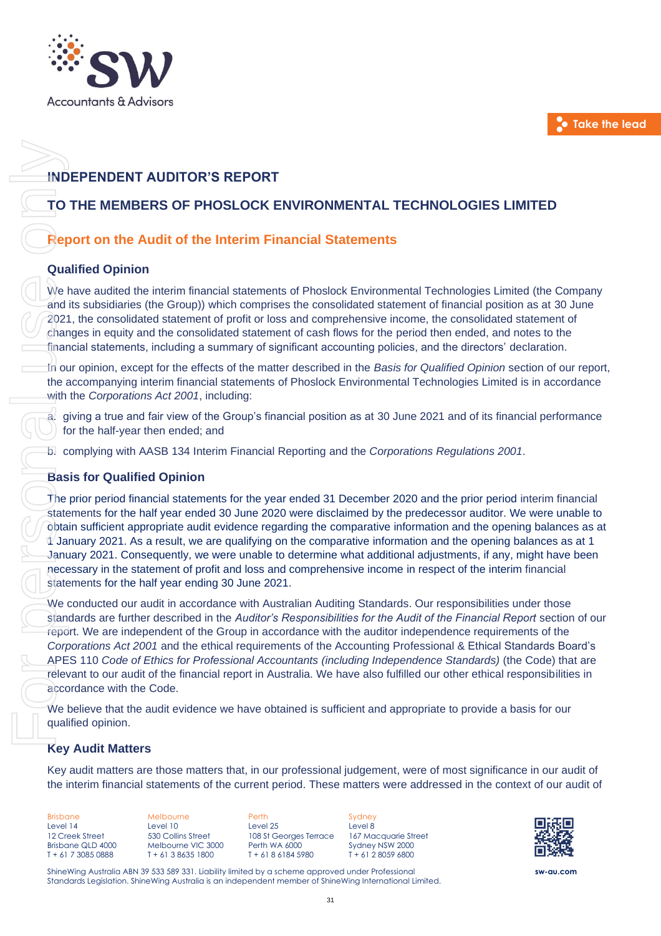

# **INDEPENDENT AUDITOR'S REPORT**

# **TO THE MEMBERS OF PHOSLOCK ENVIRONMENTAL TECHNOLOGIES LIMITED**

# **Report on the Audit of the Interim Financial Statements**

#### **Qualified Opinion**

We have audited the interim financial statements of Phoslock Environmental Technologies Limited (the Company and its subsidiaries (the Group)) which comprises the consolidated statement of financial position as at 30 June 2021, the consolidated statement of profit or loss and comprehensive income, the consolidated statement of changes in equity and the consolidated statement of cash flows for the period then ended, and notes to the financial statements, including a summary of significant accounting policies, and the directors' declaration.

In our opinion, except for the effects of the matter described in the *Basis for Qualified Opinion* section of our report, the accompanying interim financial statements of Phoslock Environmental Technologies Limited is in accordance with the *Corporations Act 2001*, including:

a. giving a true and fair view of the Group's financial position as at 30 June 2021 and of its financial performance for the half-year then ended; and

b. complying with AASB 134 Interim Financial Reporting and the *Corporations Regulations 2001*.

#### **Basis for Qualified Opinion**

The prior period financial statements for the year ended 31 December 2020 and the prior period interim financial statements for the half year ended 30 June 2020 were disclaimed by the predecessor auditor. We were unable to obtain sufficient appropriate audit evidence regarding the comparative information and the opening balances as at 1/ January 2021. As a result, we are qualifying on the comparative information and the opening balances as at 1 January 2021. Consequently, we were unable to determine what additional adjustments, if any, might have been necessary in the statement of profit and loss and comprehensive income in respect of the interim financial statements for the half year ending 30 June 2021. TO THE MEMIER AUDITOR'S REPORT<br>
TO THE MEMIERS OF PHOSLOCK ENVIRONMENTAL TECHNOLOGIES LIMITED<br>
Report on the Audit of the Interim Financial statements<br>
We have audited the context of the outlier of the Interim Financial st

We conducted our audit in accordance with Australian Auditing Standards. Our responsibilities under those standards are further described in the *Auditor's Responsibilities for the Audit of the Financial Report* section of our report. We are independent of the Group in accordance with the auditor independence requirements of the *Corporations Act 2001* and the ethical requirements of the Accounting Professional & Ethical Standards Board's APES 110 *Code of Ethics for Professional Accountants (including Independence Standards)* (the Code) that are relevant to our audit of the financial report in Australia. We have also fulfilled our other ethical responsibilities in accordance with the Code.

We believe that the audit evidence we have obtained is sufficient and appropriate to provide a basis for our qualified opinion.

#### **Key Audit Matters**

Key audit matters are those matters that, in our professional judgement, were of most significance in our audit of

31

Brisbane Level 14 12 Creek Street Brisbane QLD 4000 T + 61 7 3085 0888

Melbourne Level 10 530 Collins Street Melbourne VIC 3000 T + 61 3 8635 1800

Perth Level 25 108 St Georges Terrace Perth WA 6000 T + 61 8 6184 5980

**Sydney** Level 8 167 Macquarie Street Sydney NSW 2000  $T + 61$  2 8059 6800



**sw-au.com**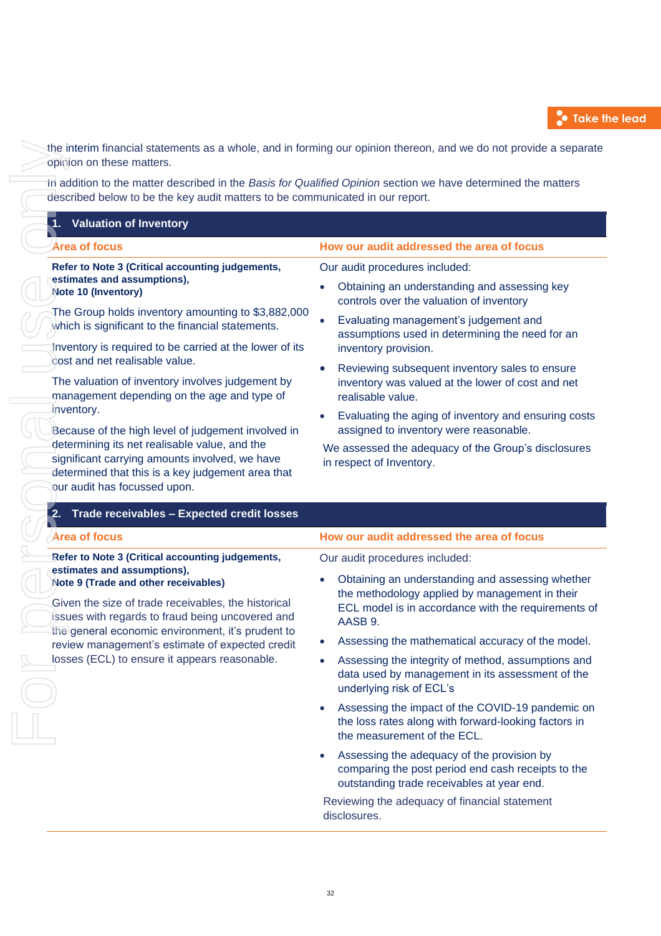

the interim financial statements as a whole, and in forming our opinion thereon, and we do not provide a separate opinion on these matters.

In addition to the matter described in the *Basis for Qualified Opinion* section we have determined the matters described below to be the key audit matters to be communicated in our report.

| <b>Valuation of Inventory</b>                                                                                                                                                        |                                                                                                                                                 |  |  |  |
|--------------------------------------------------------------------------------------------------------------------------------------------------------------------------------------|-------------------------------------------------------------------------------------------------------------------------------------------------|--|--|--|
| <b>Area of focus</b>                                                                                                                                                                 | How our audit addressed the area of focus                                                                                                       |  |  |  |
| Refer to Note 3 (Critical accounting judgements,                                                                                                                                     | Our audit procedures included:                                                                                                                  |  |  |  |
| estimates and assumptions),<br>Note 10 (Inventory)                                                                                                                                   | Obtaining an understanding and assessing key<br>controls over the valuation of inventory                                                        |  |  |  |
| The Group holds inventory amounting to \$3,882,000<br>which is significant to the financial statements.                                                                              | Evaluating management's judgement and<br>assumptions used in determining the need for an                                                        |  |  |  |
| Inventory is required to be carried at the lower of its<br>cost and net realisable value.                                                                                            | inventory provision.<br>Reviewing subsequent inventory sales to ensure                                                                          |  |  |  |
| The valuation of inventory involves judgement by<br>management depending on the age and type of                                                                                      | inventory was valued at the lower of cost and net<br>realisable value.                                                                          |  |  |  |
| inventory.<br>Because of the high level of judgement involved in                                                                                                                     | Evaluating the aging of inventory and ensuring costs<br>$\bullet$<br>assigned to inventory were reasonable.                                     |  |  |  |
| determining its net realisable value, and the<br>significant carrying amounts involved, we have<br>determined that this is a key judgement area that<br>our audit has focussed upon. | We assessed the adequacy of the Group's disclosures<br>in respect of Inventory.                                                                 |  |  |  |
| Trade receivables - Expected credit losses<br>.2.                                                                                                                                    |                                                                                                                                                 |  |  |  |
| <b>Area of focus</b>                                                                                                                                                                 | How our audit addressed the area of focus                                                                                                       |  |  |  |
| Refer to Note 3 (Critical accounting judgements,<br>estimates and assumptions),                                                                                                      | Our audit procedures included:                                                                                                                  |  |  |  |
| Note 9 (Trade and other receivables)                                                                                                                                                 | Obtaining an understanding and assessing whether                                                                                                |  |  |  |
| Given the size of trade receivables, the historical<br>issues with regards to fraud being uncovered and                                                                              | the methodology applied by management in their<br>ECL model is in accordance with the requirements of<br>AASB 9.                                |  |  |  |
| the general economic environment, it's prudent to<br>review management's estimate of expected credit                                                                                 | Assessing the mathematical accuracy of the model.<br>$\bullet$                                                                                  |  |  |  |
| losses (ECL) to ensure it appears reasonable.                                                                                                                                        |                                                                                                                                                 |  |  |  |
|                                                                                                                                                                                      | Assessing the integrity of method, assumptions and<br>$\bullet$<br>data used by management in its assessment of the<br>underlying risk of ECL's |  |  |  |
|                                                                                                                                                                                      | Assessing the impact of the COVID-19 pandemic on<br>the loss rates along with forward-looking factors in<br>the measurement of the ECL.         |  |  |  |
|                                                                                                                                                                                      | Assessing the adequacy of the provision by<br>comparing the post period end cash receipts to the<br>outstanding trade receivables at year end.  |  |  |  |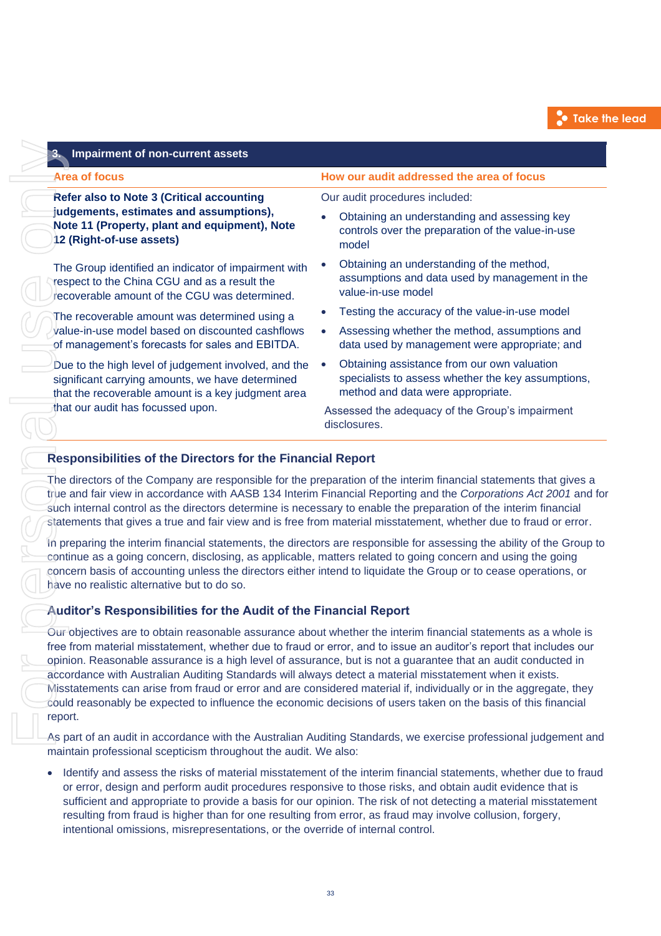| 3. Impairment of non-current assets                                                                                                                                                                                                  |                                                                                                                                                                                                                                                                                                                                                                                                                                                                              |  |  |  |
|--------------------------------------------------------------------------------------------------------------------------------------------------------------------------------------------------------------------------------------|------------------------------------------------------------------------------------------------------------------------------------------------------------------------------------------------------------------------------------------------------------------------------------------------------------------------------------------------------------------------------------------------------------------------------------------------------------------------------|--|--|--|
| <b>Area of focus</b>                                                                                                                                                                                                                 | How our audit addressed the area of focus                                                                                                                                                                                                                                                                                                                                                                                                                                    |  |  |  |
| <b>Refer also to Note 3 (Critical accounting</b>                                                                                                                                                                                     | Our audit procedures included:                                                                                                                                                                                                                                                                                                                                                                                                                                               |  |  |  |
| judgements, estimates and assumptions),<br>Note 11 (Property, plant and equipment), Note<br>12 (Right-of-use assets)                                                                                                                 | Obtaining an understanding and assessing key<br>controls over the preparation of the value-in-use<br>model                                                                                                                                                                                                                                                                                                                                                                   |  |  |  |
| The Group identified an indicator of impairment with<br>respect to the China CGU and as a result the<br>recoverable amount of the CGU was determined.                                                                                | Obtaining an understanding of the method,<br>assumptions and data used by management in the<br>value-in-use model                                                                                                                                                                                                                                                                                                                                                            |  |  |  |
| The recoverable amount was determined using a                                                                                                                                                                                        | Testing the accuracy of the value-in-use model                                                                                                                                                                                                                                                                                                                                                                                                                               |  |  |  |
| value-in-use model based on discounted cashflows<br>of management's forecasts for sales and EBITDA.                                                                                                                                  | Assessing whether the method, assumptions and<br>$\bullet$<br>data used by management were appropriate; and                                                                                                                                                                                                                                                                                                                                                                  |  |  |  |
| Due to the high level of judgement involved, and the<br>significant carrying amounts, we have determined<br>that the recoverable amount is a key judgment area                                                                       | Obtaining assistance from our own valuation<br>specialists to assess whether the key assumptions,<br>method and data were appropriate.                                                                                                                                                                                                                                                                                                                                       |  |  |  |
| that our audit has focussed upon.                                                                                                                                                                                                    | Assessed the adequacy of the Group's impairment<br>disclosures.                                                                                                                                                                                                                                                                                                                                                                                                              |  |  |  |
| continue as a going concern, disclosing, as applicable, matters related to going concern and using the going<br>have no realistic alternative but to do so.                                                                          | In preparing the interim financial statements, the directors are responsible for assessing the ability of the Group to<br>concern basis of accounting unless the directors either intend to liquidate the Group or to cease operations, or                                                                                                                                                                                                                                   |  |  |  |
| Auditor's Responsibilities for the Audit of the Financial Report                                                                                                                                                                     |                                                                                                                                                                                                                                                                                                                                                                                                                                                                              |  |  |  |
| opinion. Reasonable assurance is a high level of assurance, but is not a guarantee that an audit conducted in<br>accordance with Australian Auditing Standards will always detect a material misstatement when it exists.<br>report. | Our objectives are to obtain reasonable assurance about whether the interim financial statements as a whole is<br>free from material misstatement, whether due to fraud or error, and to issue an auditor's report that includes our<br>Misstatements can arise from fraud or error and are considered material if, individually or in the aggregate, they<br>could reasonably be expected to influence the economic decisions of users taken on the basis of this financial |  |  |  |
| maintain professional scepticism throughout the audit. We also:                                                                                                                                                                      | As part of an audit in accordance with the Australian Auditing Standards, we exercise professional judgement and                                                                                                                                                                                                                                                                                                                                                             |  |  |  |
| $\bullet$<br>resulting from fraud is higher than for one resulting from error, as fraud may involve collusion, forgery,<br>intentional omissions, misrepresentations, or the override of internal control.                           | Identify and assess the risks of material misstatement of the interim financial statements, whether due to fraud<br>or error, design and perform audit procedures responsive to those risks, and obtain audit evidence that is<br>sufficient and appropriate to provide a basis for our opinion. The risk of not detecting a material misstatement                                                                                                                           |  |  |  |

# **Responsibilities of the Directors for the Financial Report**

# **Auditor's Responsibilities for the Audit of the Financial Report**